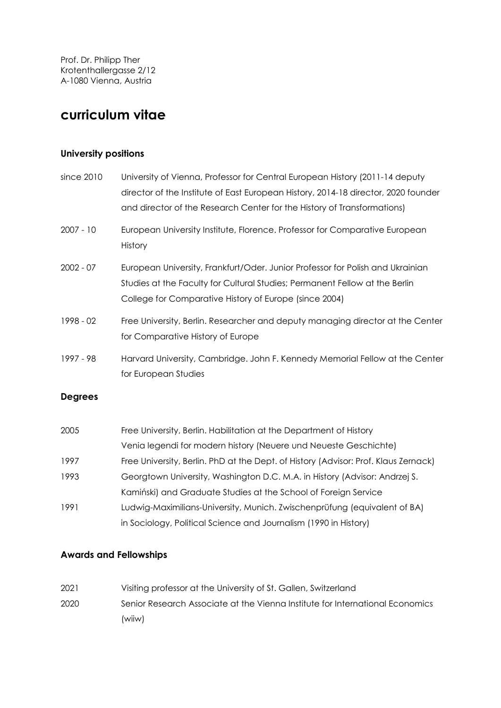Prof. Dr. Philipp Ther Krotenthallergasse 2/12 A-1080 Vienna, Austria

# **curriculum vitae**

## **University positions**

| University of Vienna, Professor for Central European History (2011-14 deputy<br>director of the Institute of East European History, 2014-18 director, 2020 founder<br>and director of the Research Center for the History of Transformations) |  |  |  |  |  |  |
|-----------------------------------------------------------------------------------------------------------------------------------------------------------------------------------------------------------------------------------------------|--|--|--|--|--|--|
| European University Institute, Florence. Professor for Comparative European<br>History                                                                                                                                                        |  |  |  |  |  |  |
| European University, Frankfurt/Oder. Junior Professor for Polish and Ukrainian<br>Studies at the Faculty for Cultural Studies; Permanent Fellow at the Berlin<br>College for Comparative History of Europe (since 2004)                       |  |  |  |  |  |  |
| Free University, Berlin. Researcher and deputy managing director at the Center<br>for Comparative History of Europe                                                                                                                           |  |  |  |  |  |  |
| Harvard University, Cambridge. John F. Kennedy Memorial Fellow at the Center<br>for European Studies                                                                                                                                          |  |  |  |  |  |  |
|                                                                                                                                                                                                                                               |  |  |  |  |  |  |
| Free University, Berlin. Habilitation at the Department of History<br>Venia legendi for modern history (Neuere und Neueste Geschichte)                                                                                                        |  |  |  |  |  |  |
| Free University, Berlin. PhD at the Dept. of History (Advisor: Prof. Klaus Zernack)                                                                                                                                                           |  |  |  |  |  |  |
| Georgtown University, Washington D.C. M.A. in History (Advisor: Andrzej S.                                                                                                                                                                    |  |  |  |  |  |  |
| Kamiński) and Graduate Studies at the School of Foreign Service                                                                                                                                                                               |  |  |  |  |  |  |
| Ludwig-Maximilians-University, Munich. Zwischenprüfung (equivalent of BA)                                                                                                                                                                     |  |  |  |  |  |  |
|                                                                                                                                                                                                                                               |  |  |  |  |  |  |

## in Sociology, Political Science and Journalism (1990 in History)

## **Awards and Fellowships**

2021 Visiting professor at the University of St. Gallen, Switzerland 2020 Senior Research Associate at the Vienna Institute for International Economics (wiiw)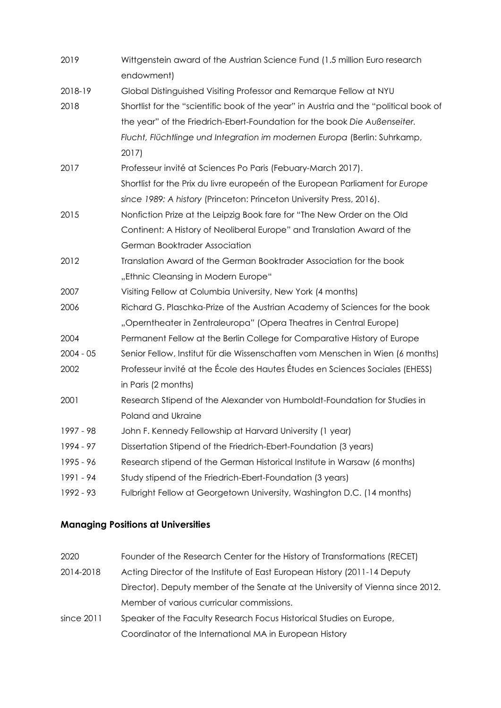| 2019        | Wittgenstein award of the Austrian Science Fund (1.5 million Euro research<br>endowment) |  |  |  |  |  |
|-------------|------------------------------------------------------------------------------------------|--|--|--|--|--|
| 2018-19     | Global Distinguished Visiting Professor and Remarque Fellow at NYU                       |  |  |  |  |  |
| 2018        | Shortlist for the "scientific book of the year" in Austria and the "political book of    |  |  |  |  |  |
|             | the year" of the Friedrich-Ebert-Foundation for the book Die Außenseiter.                |  |  |  |  |  |
|             | Flucht, Flüchtlinge und Integration im modernen Europa (Berlin: Suhrkamp,                |  |  |  |  |  |
|             | 2017)                                                                                    |  |  |  |  |  |
| 2017        | Professeur invité at Sciences Po Paris (Febuary-March 2017).                             |  |  |  |  |  |
|             | Shortlist for the Prix du livre europeén of the European Parliament for Europe           |  |  |  |  |  |
|             | since 1989: A history (Princeton: Princeton University Press, 2016).                     |  |  |  |  |  |
| 2015        | Nonfiction Prize at the Leipzig Book fare for "The New Order on the Old                  |  |  |  |  |  |
|             | Continent: A History of Neoliberal Europe" and Translation Award of the                  |  |  |  |  |  |
|             | German Booktrader Association                                                            |  |  |  |  |  |
| 2012        | Translation Award of the German Booktrader Association for the book                      |  |  |  |  |  |
|             | "Ethnic Cleansing in Modern Europe"                                                      |  |  |  |  |  |
| 2007        | Visiting Fellow at Columbia University, New York (4 months)                              |  |  |  |  |  |
| 2006        | Richard G. Plaschka-Prize of the Austrian Academy of Sciences for the book               |  |  |  |  |  |
|             | "Operntheater in Zentraleuropa" (Opera Theatres in Central Europe)                       |  |  |  |  |  |
| 2004        | Permanent Fellow at the Berlin College for Comparative History of Europe                 |  |  |  |  |  |
| $2004 - 05$ | Senior Fellow, Institut für die Wissenschaften vom Menschen in Wien (6 months)           |  |  |  |  |  |
| 2002        | Professeur invité at the École des Hautes Études en Sciences Sociales (EHESS)            |  |  |  |  |  |
|             | in Paris (2 months)                                                                      |  |  |  |  |  |
| 2001        | Research Stipend of the Alexander von Humboldt-Foundation for Studies in                 |  |  |  |  |  |
|             | Poland and Ukraine                                                                       |  |  |  |  |  |
| 1997 - 98   | John F. Kennedy Fellowship at Harvard University (1 year)                                |  |  |  |  |  |
| 1994 - 97   | Dissertation Stipend of the Friedrich-Ebert-Foundation (3 years)                         |  |  |  |  |  |
| 1995 - 96   | Research stipend of the German Historical Institute in Warsaw (6 months)                 |  |  |  |  |  |
| 1991 - 94   | Study stipend of the Friedrich-Ebert-Foundation (3 years)                                |  |  |  |  |  |
| 1992 - 93   | Fulbright Fellow at Georgetown University, Washington D.C. (14 months)                   |  |  |  |  |  |

## **Managing Positions at Universities**

| 2020 |  |  | Founder of the Research Center for the History of Transformations (RECET) |  |
|------|--|--|---------------------------------------------------------------------------|--|
|      |  |  |                                                                           |  |

- 2014-2018 Acting Director of the Institute of East European History (2011-14 Deputy Director). Deputy member of the Senate at the University of Vienna since 2012. Member of various curricular commissions.
- since 2011 Speaker of the Faculty Research Focus Historical Studies on Europe, Coordinator of the International MA in European History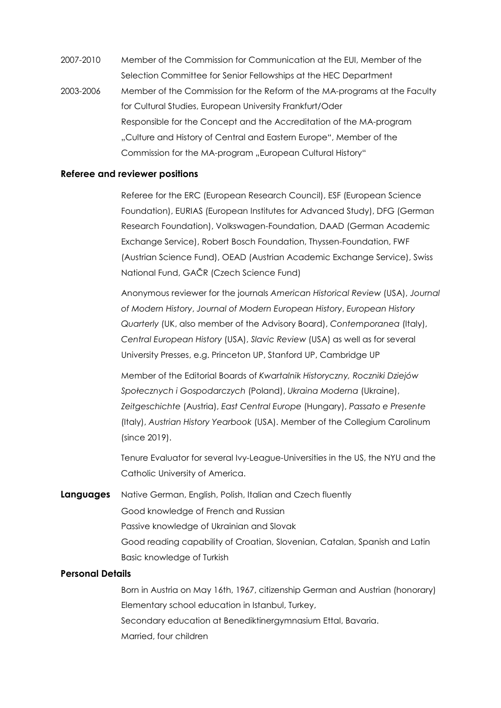2007-2010 Member of the Commission for Communication at the EUI, Member of the Selection Committee for Senior Fellowships at the HEC Department 2003-2006 Member of the Commission for the Reform of the MA-programs at the Faculty for Cultural Studies, European University Frankfurt/Oder Responsible for the Concept and the Accreditation of the MA-program "Culture and History of Central and Eastern Europe", Member of the Commission for the MA-program ".European Cultural History"

#### **Referee and reviewer positions**

Referee for the ERC (European Research Council), ESF (European Science Foundation), EURIAS (European Institutes for Advanced Study), DFG (German Research Foundation), Volkswagen-Foundation, DAAD (German Academic Exchange Service), Robert Bosch Foundation, Thyssen-Foundation, FWF (Austrian Science Fund), OEAD (Austrian Academic Exchange Service), Swiss National Fund, GAČR (Czech Science Fund)

Anonymous reviewer for the journals *American Historical Review* (USA), *Journal of Modern History*, *Journal of Modern European History*, *European History Quarterly* (UK, also member of the Advisory Board), *Contemporanea* (Italy), *Central European History* (USA), *Slavic Review* (USA) as well as for several University Presses, e.g. Princeton UP, Stanford UP, Cambridge UP

Member of the Editorial Boards of *Kwartalnik Historyczny, Roczniki Dziejów Społecznych i Gospodarczych* (Poland), *Ukraina Moderna* (Ukraine), *Zeitgeschichte* (Austria), *East Central Europe* (Hungary), *Passato e Presente* (Italy), *Austrian History Yearbook* (USA). Member of the Collegium Carolinum (since 2019).

Tenure Evaluator for several Ivy-League-Universities in the US, the NYU and the Catholic University of America.

**Languages** Native German, English, Polish, Italian and Czech fluently Good knowledge of French and Russian Passive knowledge of Ukrainian and Slovak Good reading capability of Croatian, Slovenian, Catalan, Spanish and Latin Basic knowledge of Turkish

## **Personal Details**

Born in Austria on May 16th, 1967, citizenship German and Austrian (honorary) Elementary school education in Istanbul, Turkey, Secondary education at Benediktinergymnasium Ettal, Bavaria. Married, four children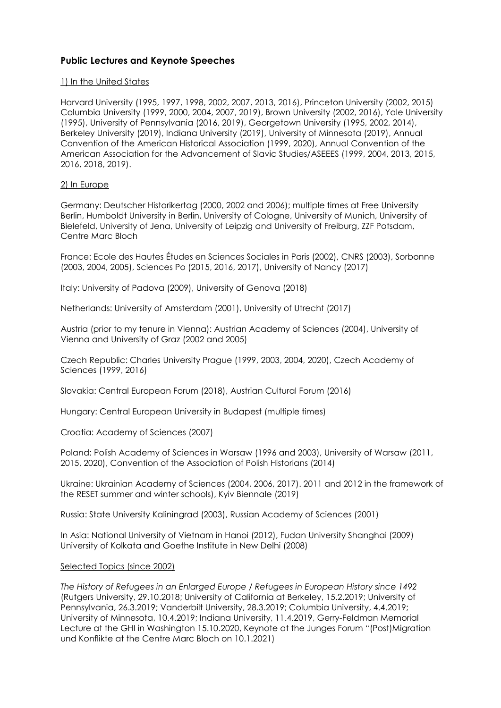## **Public Lectures and Keynote Speeches**

#### 1) In the United States

Harvard University (1995, 1997, 1998, 2002, 2007, 2013, 2016), Princeton University (2002, 2015) Columbia University (1999, 2000, 2004, 2007, 2019), Brown University (2002, 2016), Yale University (1995), University of Pennsylvania (2016, 2019), Georgetown University (1995, 2002, 2014), Berkeley University (2019), Indiana University (2019), University of Minnesota (2019), Annual Convention of the American Historical Association (1999, 2020), Annual Convention of the American Association for the Advancement of Slavic Studies/ASEEES (1999, 2004, 2013, 2015, 2016, 2018, 2019).

### 2) In Europe

Germany: Deutscher Historikertag (2000, 2002 and 2006); multiple times at Free University Berlin, Humboldt University in Berlin, University of Cologne, University of Munich, University of Bielefeld, University of Jena, University of Leipzig and University of Freiburg, ZZF Potsdam, Centre Marc Bloch

France: Ecole des Hautes Études en Sciences Sociales in Paris (2002), CNRS (2003), Sorbonne (2003, 2004, 2005), Sciences Po (2015, 2016, 2017), University of Nancy (2017)

Italy: University of Padova (2009), University of Genova (2018)

Netherlands: University of Amsterdam (2001), University of Utrecht (2017)

Austria (prior to my tenure in Vienna): Austrian Academy of Sciences (2004), University of Vienna and University of Graz (2002 and 2005)

Czech Republic: Charles University Prague (1999, 2003, 2004, 2020), Czech Academy of Sciences (1999, 2016)

Slovakia: Central European Forum (2018), Austrian Cultural Forum (2016)

Hungary: Central European University in Budapest (multiple times)

Croatia: Academy of Sciences (2007)

Poland: Polish Academy of Sciences in Warsaw (1996 and 2003), University of Warsaw (2011, 2015, 2020), Convention of the Association of Polish Historians (2014)

Ukraine: Ukrainian Academy of Sciences (2004, 2006, 2017). 2011 and 2012 in the framework of the RESET summer and winter schools), Kyiv Biennale (2019)

Russia: State University Kaliningrad (2003), Russian Academy of Sciences (2001)

In Asia: National University of Vietnam in Hanoi (2012), Fudan University Shanghai (2009) University of Kolkata and Goethe Institute in New Delhi (2008)

#### Selected Topics (since 2002)

*The History of Refugees in an Enlarged Europe* / *Refugees in European History since 1492* (Rutgers University, 29.10.2018; University of California at Berkeley, 15.2.2019; University of Pennsylvania, 26.3.2019; Vanderbilt University, 28.3.2019; Columbia University, 4.4.2019; University of Minnesota, 10.4.2019; Indiana University, 11.4.2019, Gerry-Feldman Memorial Lecture at the GHI in Washington 15.10.2020, Keynote at the Junges Forum "(Post)Migration und Konflikte at the Centre Marc Bloch on 10.1.2021)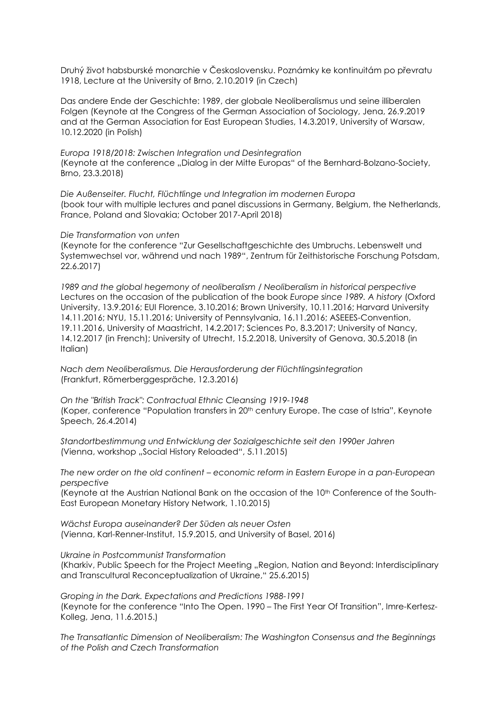Druhý život habsburské monarchie v Československu. Poznámky ke kontinuitám po převratu 1918, Lecture at the University of Brno, 2.10.2019 (in Czech)

Das andere Ende der Geschichte: 1989, der globale Neoliberalismus und seine illiberalen Folgen (Keynote at the Congress of the German Association of Sociology, Jena, 26.9.2019 and at the German Association for East European Studies, 14.3.2019, University of Warsaw, 10.12.2020 (in Polish)

*Europa 1918/2018: Zwischen Integration und Desintegration* (Keynote at the conference "Dialog in der Mitte Europas" of the Bernhard-Bolzano-Society, Brno, 23.3.2018)

*Die Außenseiter. Flucht, Flüchtlinge und Integration im modernen Europa* (book tour with multiple lectures and panel discussions in Germany, Belgium, the Netherlands, France, Poland and Slovakia; October 2017-April 2018)

*Die Transformation von unten* 

(Keynote for the conference "Zur Gesellschaftgeschichte des Umbruchs. Lebenswelt und Systemwechsel vor, während und nach 1989", Zentrum für Zeithistorische Forschung Potsdam, 22.6.2017)

*1989 and the global hegemony of neoliberalism* / *Neoliberalism in historical perspective* Lectures on the occasion of the publication of the book *Europe since 1989. A history* (Oxford University, 13.9.2016; EUI Florence, 3.10.2016; Brown University, 10.11.2016; Harvard University 14.11.2016; NYU, 15.11.2016; University of Pennsylvania, 16.11.2016; ASEEES-Convention, 19.11.2016, University of Maastricht, 14.2.2017; Sciences Po, 8.3.2017; University of Nancy, 14.12.2017 (in French); University of Utrecht, 15.2.2018, University of Genova, 30.5.2018 (in Italian)

*Nach dem Neoliberalismus. Die Herausforderung der Flüchtlingsintegration* (Frankfurt, Römerberggespräche, 12.3.2016)

*On the "British Track": Contractual Ethnic Cleansing 1919-1948* (Koper, conference "Population transfers in 20th century Europe. The case of Istria", Keynote Speech, 26.4.2014)

*Standortbestimmung und Entwicklung der Sozialgeschichte seit den 1990er Jahren*  (Vienna, workshop "Social History Reloaded", 5.11.2015)

*The new order on the old continent – economic reform in Eastern Europe in a pan-European perspective* 

(Keynote at the Austrian National Bank on the occasion of the 10th Conference of the South-East European Monetary History Network, 1.10.2015)

*Wächst Europa auseinander? Der Süden als neuer Osten*  (Vienna, Karl-Renner-Institut, 15.9.2015, and University of Basel, 2016)

*Ukraine in Postcommunist Transformation* 

(Kharkiv, Public Speech for the Project Meeting "Region, Nation and Beyond: Interdisciplinary and Transcultural Reconceptualization of Ukraine," 25.6.2015)

*Groping in the Dark. Expectations and Predictions 1988-1991* (Keynote for the conference "Into The Open. 1990 – The First Year Of Transition", Imre-Kertesz-Kolleg, Jena, 11.6.2015.)

*The Transatlantic Dimension of Neoliberalism: The Washington Consensus and the Beginnings of the Polish and Czech Transformation*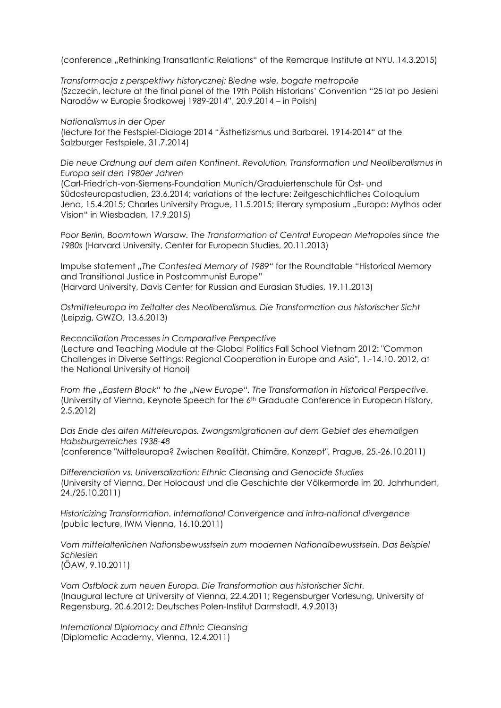(conference "Rethinking Transatlantic Relations" of the Remarque Institute at NYU, 14.3.2015)

*Transformacja z perspektiwy historycznej: Biedne wsie, bogate metropolie* (Szczecin, lecture at the final panel of the 19th Polish Historians' Convention "25 lat po Jesieni Narodów w Europie Środkowej 1989-2014", 20.9.2014 – in Polish)

*Nationalismus in der Oper* (lecture for the Festspiel-Dialoge 2014 "Ästhetizismus und Barbarei. 1914-2014" at the Salzburger Festspiele, 31.7.2014)

*Die neue Ordnung auf dem alten Kontinent. Revolution, Transformation und Neoliberalismus in Europa seit den 1980er Jahren*

(Carl-Friedrich-von-Siemens-Foundation Munich/Graduiertenschule für Ost- und Südosteuropastudien, 23.6.2014; variations of the lecture: Zeitgeschichtliches Colloquium Jena, 15.4.2015; Charles University Prague, 11.5.2015; literary symposium "Europa: Mythos oder Vision" in Wiesbaden, 17.9.2015)

*Poor Berlin, Boomtown Warsaw. The Transformation of Central European Metropoles since the 1980s* (Harvard University, Center for European Studies, 20.11.2013)

Impulse statement *"The Contested Memory of 1989"* for the Roundtable "Historical Memory and Transitional Justice in Postcommunist Europe" (Harvard University, Davis Center for Russian and Eurasian Studies, 19.11.2013)

*Ostmitteleuropa im Zeitalter des Neoliberalismus. Die Transformation aus historischer Sicht* (Leipzig, GWZO, 13.6.2013)

*Reconciliation Processes in Comparative Perspective* (Lecture and Teaching Module at the Global Politics Fall School Vietnam 2012: "Common Challenges in Diverse Settings: Regional Cooperation in Europe and Asia", 1.-14.10. 2012, at the National University of Hanoi)

*From the "Eastern Block" to the "New Europe". The Transformation in Historical Perspective.* (University of Vienna, Keynote Speech for the 6th Graduate Conference in European History, 2.5.2012)

*Das Ende des alten Mitteleuropas. Zwangsmigrationen auf dem Gebiet des ehemaligen Habsburgerreiches 1938-48*

(conference "Mitteleuropa? Zwischen Realität, Chimäre, Konzept", Prague, 25.-26.10.2011)

*Differenciation vs. Universalization: Ethnic Cleansing and Genocide Studies* (University of Vienna, Der Holocaust und die Geschichte der Völkermorde im 20. Jahrhundert, 24./25.10.2011)

*Historicizing Transformation. International Convergence and intra-national divergence* (public lecture, IWM Vienna, 16.10.2011)

*Vom mittelalterlichen Nationsbewusstsein zum modernen Nationalbewusstsein. Das Beispiel Schlesien* (ÖAW, 9.10.2011)

*Vom Ostblock zum neuen Europa. Die Transformation aus historischer Sicht.* (Inaugural lecture at University of Vienna, 22.4.2011; Regensburger Vorlesung, University of Regensburg, 20.6.2012; Deutsches Polen-Institut Darmstadt, 4.9.2013)

*International Diplomacy and Ethnic Cleansing* (Diplomatic Academy, Vienna, 12.4.2011)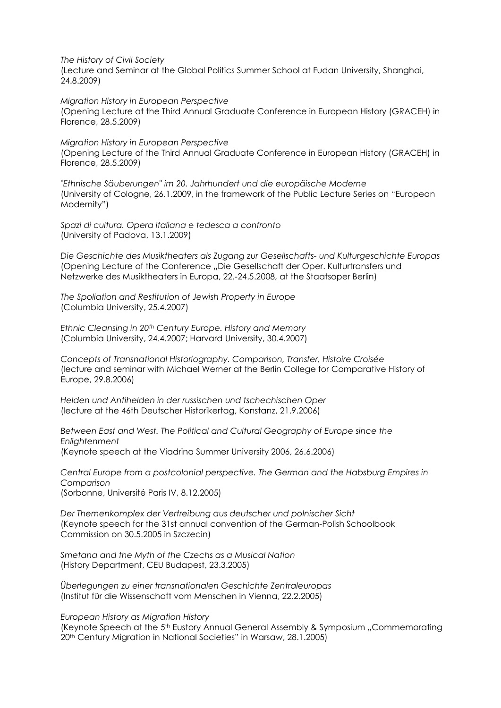*The History of Civil Society*

(Lecture and Seminar at the Global Politics Summer School at Fudan University, Shanghai, 24.8.2009)

*Migration History in European Perspective* (Opening Lecture at the Third Annual Graduate Conference in European History (GRACEH) in Florence, 28.5.2009)

*Migration History in European Perspective* (Opening Lecture of the Third Annual Graduate Conference in European History (GRACEH) in Florence, 28.5.2009)

*"Ethnische Säuberungen" im 20. Jahrhundert und die europäische Moderne* (University of Cologne, 26.1.2009, in the framework of the Public Lecture Series on "European Modernity")

*Spazi di cultura. Opera italiana e tedesca a confronto* (University of Padova, 13.1.2009)

*Die Geschichte des Musiktheaters als Zugang zur Gesellschafts- und Kulturgeschichte Europas* (Opening Lecture of the Conference "Die Gesellschaft der Oper. Kulturtransfers und Netzwerke des Musiktheaters in Europa, 22.-24.5.2008, at the Staatsoper Berlin)

*The Spoliation and Restitution of Jewish Property in Europe* (Columbia University, 25.4.2007)

*Ethnic Cleansing in 20th Century Europe. History and Memory* (Columbia University, 24.4.2007; Harvard University, 30.4.2007)

*Concepts of Transnational Historiography. Comparison, Transfer, Histoire Croisée* (lecture and seminar with Michael Werner at the Berlin College for Comparative History of Europe, 29.8.2006)

*Helden und Antihelden in der russischen und tschechischen Oper* (lecture at the 46th Deutscher Historikertag, Konstanz, 21.9.2006)

*Between East and West. The Political and Cultural Geography of Europe since the Enlightenment* (Keynote speech at the Viadrina Summer University 2006, 26.6.2006)

*Central Europe from a postcolonial perspective. The German and the Habsburg Empires in Comparison* (Sorbonne, Université Paris IV, 8.12.2005)

*Der Themenkomplex der Vertreibung aus deutscher und polnischer Sicht* (Keynote speech for the 31st annual convention of the German-Polish Schoolbook Commission on 30.5.2005 in Szczecin)

*Smetana and the Myth of the Czechs as a Musical Nation* (History Department, CEU Budapest, 23.3.2005)

*Überlegungen zu einer transnationalen Geschichte Zentraleuropas* (Institut für die Wissenschaft vom Menschen in Vienna, 22.2.2005)

*European History as Migration History*

(Keynote Speech at the 5<sup>th</sup> Eustory Annual General Assembly & Symposium "Commemorating 20th Century Migration in National Societies" in Warsaw, 28.1.2005)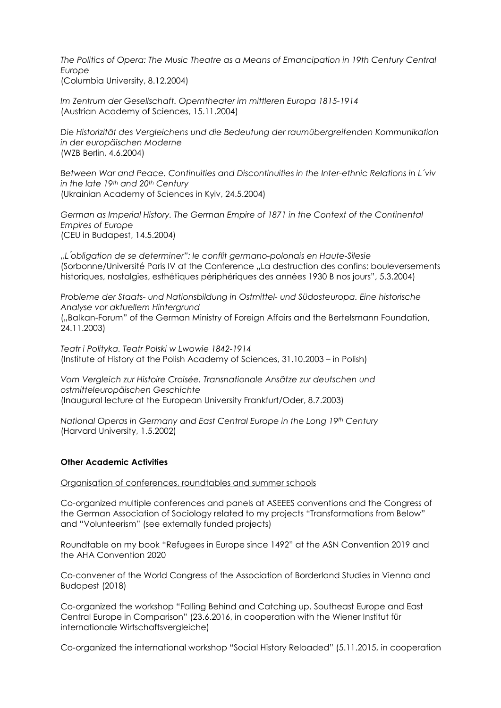*The Politics of Opera: The Music Theatre as a Means of Emancipation in 19th Century Central Europe*  (Columbia University, 8.12.2004)

*Im Zentrum der Gesellschaft. Operntheater im mittleren Europa 1815-1914* (Austrian Academy of Sciences, 15.11.2004)

*Die Historizität des Vergleichens und die Bedeutung der raumübergreifenden Kommunikation in der europäischen Moderne* (WZB Berlin, 4.6.2004)

*Between War and Peace. Continuities and Discontinuities in the Inter-ethnic Relations in L´viv in the late 19th and 20th Century*  (Ukrainian Academy of Sciences in Kyiv, 24.5.2004)

*German as Imperial History. The German Empire of 1871 in the Context of the Continental Empires of Europe*  (CEU in Budapest, 14.5.2004)

*"L ́obligation de se determiner": le conflit germano-polonais en Haute-Silesie* (Sorbonne/Université Paris IV at the Conference "La destruction des confins: bouleversements historiques, nostalgies, esthétiques périphériques des années 1930 B nos jours", 5.3.2004)

*Probleme der Staats- und Nationsbildung in Ostmittel- und Südosteuropa. Eine historische Analyse vor aktuellem Hintergrund* ("Balkan-Forum" of the German Ministry of Foreign Affairs and the Bertelsmann Foundation, 24.11.2003)

*Teatr i Polityka. Teatr Polski w Lwowie 1842-1914*  (Institute of History at the Polish Academy of Sciences, 31.10.2003 – in Polish)

*Vom Vergleich zur Histoire Croisée. Transnationale Ansätze zur deutschen und ostmitteleuropäischen Geschichte* (Inaugural lecture at the European University Frankfurt/Oder, 8.7.2003)

*National Operas in Germany and East Central Europe in the Long 19th Century* (Harvard University, 1.5.2002)

#### **Other Academic Activities**

Organisation of conferences, roundtables and summer schools

Co-organized multiple conferences and panels at ASEEES conventions and the Congress of the German Association of Sociology related to my projects "Transformations from Below" and "Volunteerism" (see externally funded projects)

Roundtable on my book "Refugees in Europe since 1492" at the ASN Convention 2019 and the AHA Convention 2020

Co-convener of the World Congress of the Association of Borderland Studies in Vienna and Budapest (2018)

Co-organized the workshop "Falling Behind and Catching up. Southeast Europe and East Central Europe in Comparison" (23.6.2016, in cooperation with the Wiener Institut für internationale Wirtschaftsvergleiche)

Co-organized the international workshop "Social History Reloaded" (5.11.2015, in cooperation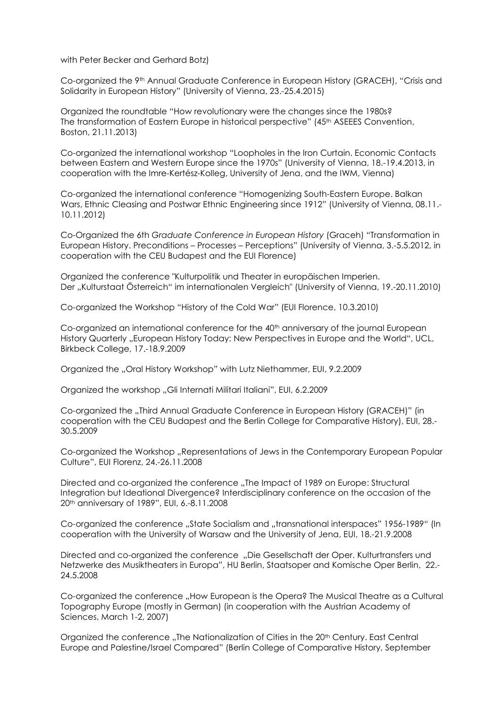with Peter Becker and Gerhard Botz)

Co-organized the 9<sup>th</sup> Annual Graduate Conference in European History (GRACEH), "Crisis and Solidarity in European History" (University of Vienna, 23.-25.4.2015)

Organized the roundtable "How revolutionary were the changes since the 1980s? The transformation of Eastern Europe in historical perspective" (45<sup>th</sup> ASEEES Convention, Boston, 21.11.2013)

Co-organized the international workshop "Loopholes in the Iron Curtain. Economic Contacts between Eastern and Western Europe since the 1970s" (University of Vienna, 18.-19.4.2013, in cooperation with the Imre-Kertész-Kolleg, University of Jena, and the IWM, Vienna)

Co-organized the international conference "Homogenizing South-Eastern Europe. Balkan Wars, Ethnic Cleasing and Postwar Ethnic Engineering since 1912" (University of Vienna, 08.11.- 10.11.2012)

Co-Organized the 6th *Graduate Conference in European History* (Graceh) "Transformation in European History. Preconditions – Processes – Perceptions" (University of Vienna, 3.-5.5.2012, in cooperation with the CEU Budapest and the EUI Florence)

Organized the conference "Kulturpolitik und Theater in europäischen Imperien. Der "Kulturstaat Österreich" im internationalen Vergleich" (University of Vienna, 19.-20.11.2010)

Co-organized the Workshop "History of the Cold War" (EUI Florence, 10.3.2010)

Co-organized an international conference for the 40<sup>th</sup> anniversary of the journal European History Quarterly "European History Today: New Perspectives in Europe and the World", UCL, Birkbeck College, 17.-18.9.2009

Organized the "Oral History Workshop" with Lutz Niethammer, EUI, 9.2.2009

Organized the workshop "Gli Internati Militari Italiani", EUI, 6.2.2009

Co-organized the "Third Annual Graduate Conference in European History (GRACEH)" (in cooperation with the CEU Budapest and the Berlin College for Comparative History), EUI, 28.- 30.5.2009

Co-organized the Workshop "Representations of Jews in the Contemporary European Popular Culture", EUI Florenz, 24.-26.11.2008

Directed and co-organized the conference "The Impact of 1989 on Europe: Structural Integration but Ideational Divergence? Interdisciplinary conference on the occasion of the 20th anniversary of 1989", EUI, 6.-8.11.2008

Co-organized the conference "State Socialism and "transnational interspaces" 1956-1989" (In cooperation with the University of Warsaw and the University of Jena, EUI, 18.-21.9.2008

Directed and co-organized the conference "Die Gesellschaft der Oper. Kulturtransfers und Netzwerke des Musiktheaters in Europa", HU Berlin, Staatsoper and Komische Oper Berlin, 22.- 24.5.2008

Co-organized the conference ..How European is the Opera? The Musical Theatre as a Cultural Topography Europe (mostly in German) (in cooperation with the Austrian Academy of Sciences, March 1-2, 2007)

Organized the conference "The Nationalization of Cities in the 20<sup>th</sup> Century. East Central Europe and Palestine/Israel Compared" (Berlin College of Comparative History, September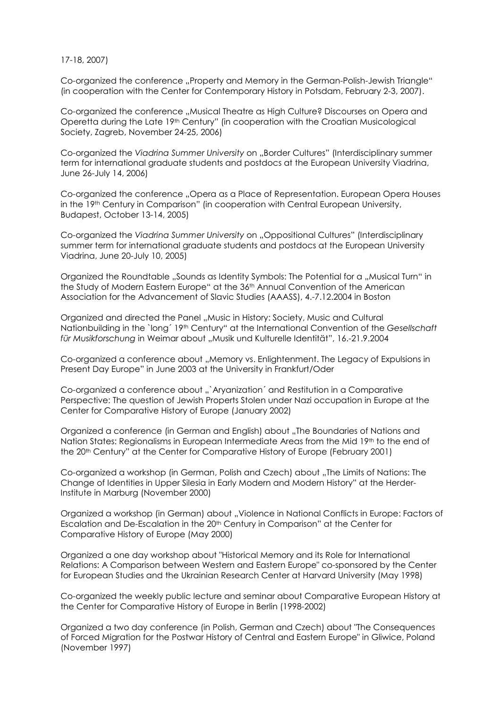17-18, 2007)

Co-organized the conference "Property and Memory in the German-Polish-Jewish Triangle" (in cooperation with the Center for Contemporary History in Potsdam, February 2-3, 2007).

Co-organized the conference "Musical Theatre as High Culture? Discourses on Opera and Operetta during the Late 19th Century" (in cooperation with the Croatian Musicological Society, Zagreb, November 24-25, 2006)

Co-organized the *Viadrina Summer University* on "Border Cultures" (Interdisciplinary summer term for international graduate students and postdocs at the European University Viadrina, June 26-July 14, 2006)

Co-organized the conference "Opera as a Place of Representation. European Opera Houses in the 19th Century in Comparison" (in cooperation with Central European University, Budapest, October 13-14, 2005)

Co-organized the *Viadrina Summer University* on "Oppositional Cultures" (Interdisciplinary summer term for international graduate students and postdocs at the European University Viadrina, June 20-July 10, 2005)

Organized the Roundtable "Sounds as Identity Symbols: The Potential for a "Musical Turn" in the Study of Modern Eastern Europe" at the 36th Annual Convention of the American Association for the Advancement of Slavic Studies (AAASS), 4.-7.12.2004 in Boston

Organized and directed the Panel "Music in History: Society, Music and Cultural Nationbuilding in the `long´ 19th Century" at the International Convention of the *Gesellschaft für Musikforschung* in Weimar about "Musik und Kulturelle Identität", 16.-21.9.2004

Co-organized a conference about "Memory vs. Enlightenment. The Legacy of Expulsions in Present Day Europe" in June 2003 at the University in Frankfurt/Oder

Co-organized a conference about "`Aryanization' and Restitution in a Comparative Perspective: The question of Jewish Properts Stolen under Nazi occupation in Europe at the Center for Comparative History of Europe (January 2002)

Organized a conference (in German and English) about "The Boundaries of Nations and Nation States: Regionalisms in European Intermediate Areas from the Mid 19<sup>th</sup> to the end of the 20th Century" at the Center for Comparative History of Europe (February 2001)

Co-organized a workshop (in German, Polish and Czech) about "The Limits of Nations: The Change of Identities in Upper Silesia in Early Modern and Modern History" at the Herder-Institute in Marburg (November 2000)

Organized a workshop (in German) about "Violence in National Conflicts in Europe: Factors of Escalation and De-Escalation in the 20th Century in Comparison" at the Center for Comparative History of Europe (May 2000)

Organized a one day workshop about "Historical Memory and its Role for International Relations: A Comparison between Western and Eastern Europe" co-sponsored by the Center for European Studies and the Ukrainian Research Center at Harvard University (May 1998)

Co-organized the weekly public lecture and seminar about Comparative European History at the Center for Comparative History of Europe in Berlin (1998-2002)

Organized a two day conference (in Polish, German and Czech) about "The Consequences of Forced Migration for the Postwar History of Central and Eastern Europe" in Gliwice, Poland (November 1997)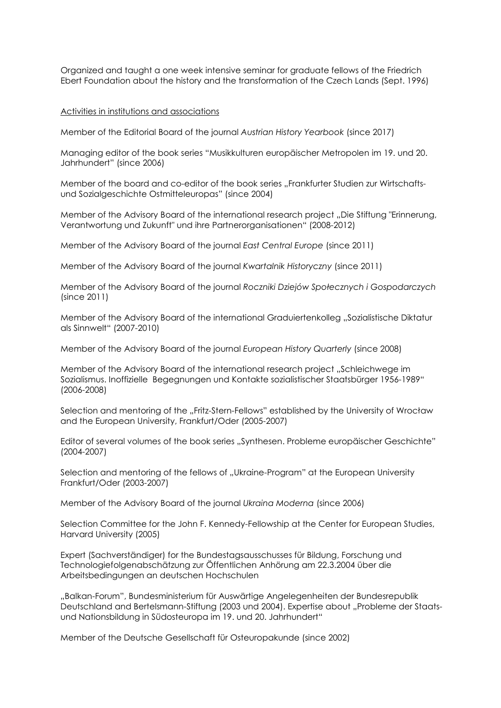Organized and taught a one week intensive seminar for graduate fellows of the Friedrich Ebert Foundation about the history and the transformation of the Czech Lands (Sept. 1996)

#### Activities in institutions and associations

Member of the Editorial Board of the journal *Austrian History Yearbook* (since 2017)

Managing editor of the book series "Musikkulturen europäischer Metropolen im 19. und 20. Jahrhundert" (since 2006)

Member of the board and co-editor of the book series "Frankfurter Studien zur Wirtschaftsund Sozialgeschichte Ostmitteleuropas" (since 2004)

Member of the Advisory Board of the international research project ..Die Stiftung "Erinnerung, Verantwortung und Zukunft" und ihre Partnerorganisationen" (2008-2012)

Member of the Advisory Board of the journal *East Central Europe* (since 2011)

Member of the Advisory Board of the journal *Kwartalnik Historyczny* (since 2011)

Member of the Advisory Board of the journal *Roczniki Dziejów Społecznych i Gospodarczych* (since 2011)

Member of the Advisory Board of the international Graduiertenkolleg "Sozialistische Diktatur als Sinnwelt" (2007-2010)

Member of the Advisory Board of the journal *European History Quarterly* (since 2008)

Member of the Advisory Board of the international research project "Schleichwege im Sozialismus. Inoffizielle Begegnungen und Kontakte sozialistischer Staatsbürger 1956-1989" (2006-2008)

Selection and mentoring of the "Fritz-Stern-Fellows" established by the University of Wrocław and the European University, Frankfurt/Oder (2005-2007)

Editor of several volumes of the book series "Synthesen. Probleme europäischer Geschichte" (2004-2007)

Selection and mentoring of the fellows of "Ukraine-Program" at the European University Frankfurt/Oder (2003-2007)

Member of the Advisory Board of the journal *Ukraina Moderna* (since 2006)

Selection Committee for the John F. Kennedy-Fellowship at the Center for European Studies, Harvard University (2005)

Expert (Sachverständiger) for the Bundestagsausschusses für Bildung, Forschung und Technologiefolgenabschätzung zur Öffentlichen Anhörung am 22.3.2004 über die Arbeitsbedingungen an deutschen Hochschulen

"Balkan-Forum", Bundesministerium für Auswärtige Angelegenheiten der Bundesrepublik Deutschland and Bertelsmann-Stiftung (2003 und 2004). Expertise about "Probleme der Staatsund Nationsbildung in Südosteuropa im 19. und 20. Jahrhundert"

Member of the Deutsche Gesellschaft für Osteuropakunde (since 2002)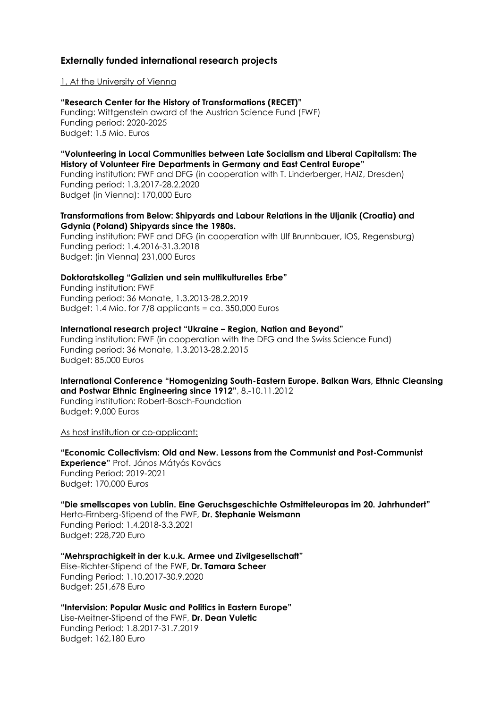### **Externally funded international research projects**

#### 1. At the University of Vienna

**"Research Center for the History of Transformations (RECET)"** Funding: Wittgenstein award of the Austrian Science Fund (FWF) Funding period: 2020-2025 Budget: 1.5 Mio. Euros

### **"Volunteering in Local Communities between Late Socialism and Liberal Capitalism: The History of Volunteer Fire Departments in Germany and East Central Europe"**

Funding institution: FWF and DFG (in cooperation with T. Linderberger, HAIZ, Dresden) Funding period: 1.3.2017-28.2.2020 Budget (in Vienna): 170,000 Euro

#### **Transformations from Below: Shipyards and Labour Relations in the Uljanik (Croatia) and Gdynia (Poland) Shipyards since the 1980s.**

Funding institution: FWF and DFG (in cooperation with Ulf Brunnbauer, IOS, Regensburg) Funding period: 1.4.2016-31.3.2018 Budget: (in Vienna) 231,000 Euros

#### **Doktoratskolleg "Galizien und sein multikulturelles Erbe"**

Funding institution: FWF Funding period: 36 Monate, 1.3.2013-28.2.2019 Budget: 1.4 Mio. for  $7/8$  applicants = ca. 350,000 Euros

#### **International research project "Ukraine – Region, Nation and Beyond"**

Funding institution: FWF (in cooperation with the DFG and the Swiss Science Fund) Funding period: 36 Monate, 1.3.2013-28.2.2015 Budget: 85,000 Euros

**International Conference "Homogenizing South-Eastern Europe. Balkan Wars, Ethnic Cleansing and Postwar Ethnic Engineering since 1912"**, 8.-10.11.2012 Funding institution: Robert-Bosch-Foundation Budget: 9,000 Euros

As host institution or co-applicant:

**"Economic Collectivism: Old and New. Lessons from the Communist and Post-Communist Experience"** Prof. János Mátyás Kovács Funding Period: 2019-2021 Budget: 170,000 Euros

**"Die smellscapes von Lublin. Eine Geruchsgeschichte Ostmitteleuropas im 20. Jahrhundert"** Herta-Firnberg-Stipend of the FWF, **Dr. Stephanie Weismann** Funding Period: 1.4.2018-3.3.2021 Budget: 228,720 Euro

**"Mehrsprachigkeit in der k.u.k. Armee und Zivilgesellschaft"** Elise-Richter-Stipend of the FWF, **Dr. Tamara Scheer** Funding Period: 1.10.2017-30.9.2020 Budget: 251,678 Euro

**"Intervision: Popular Music and Politics in Eastern Europe"** Lise-Meitner-Stipend of the FWF, **Dr. Dean Vuletic** Funding Period: 1.8.2017-31.7.2019 Budget: 162,180 Euro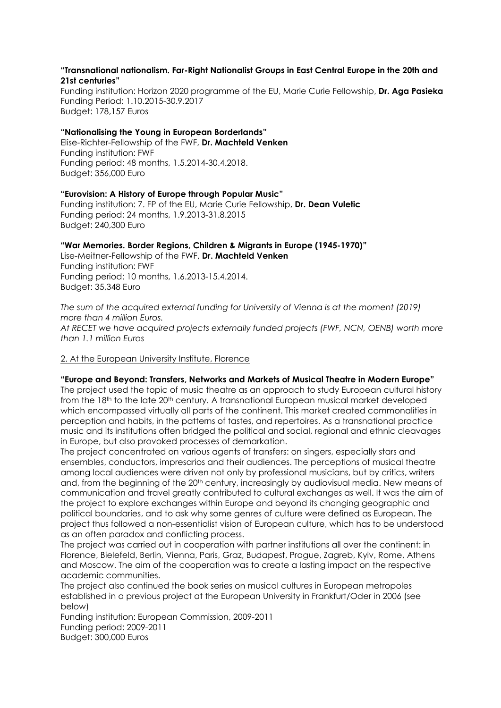#### **"Transnational nationalism. Far-Right Nationalist Groups in East Central Europe in the 20th and 21st centuries"**

Funding institution: Horizon 2020 programme of the EU, Marie Curie Fellowship, **Dr. Aga Pasieka**  Funding Period: 1.10.2015-30.9.2017 Budget: 178,157 Euros

#### **"Nationalising the Young in European Borderlands"**

Elise-Richter-Fellowship of the FWF, **Dr. Machteld Venken** Funding institution: FWF Funding period: 48 months, 1.5.2014-30.4.2018. Budget: 356,000 Euro

**"Eurovision: A History of Europe through Popular Music"**  Funding institution: 7. FP of the EU, Marie Curie Fellowship, **Dr. Dean Vuletic** Funding period: 24 months, 1.9.2013-31.8.2015 Budget: 240,300 Euro

### **"War Memories. Border Regions, Children & Migrants in Europe (1945-1970)"**

Lise-Meitner-Fellowship of the FWF, **Dr. Machteld Venken** Funding institution: FWF Funding period: 10 months, 1.6.2013-15.4.2014. Budget: 35,348 Euro

*The sum of the acquired external funding for University of Vienna is at the moment (2019) more than 4 million Euros. At RECET we have acquired projects externally funded projects (FWF, NCN, OENB) worth more than 1.1 million Euros* 

#### 2. At the European University Institute, Florence

#### **"Europe and Beyond: Transfers, Networks and Markets of Musical Theatre in Modern Europe"**

The project used the topic of music theatre as an approach to study European cultural history from the 18<sup>th</sup> to the late 20<sup>th</sup> century. A transnational European musical market developed which encompassed virtually all parts of the continent. This market created commonalities in perception and habits, in the patterns of tastes, and repertoires. As a transnational practice music and its institutions often bridged the political and social, regional and ethnic cleavages in Europe, but also provoked processes of demarkation.

The project concentrated on various agents of transfers: on singers, especially stars and ensembles, conductors, impresarios and their audiences. The perceptions of musical theatre among local audiences were driven not only by professional musicians, but by critics, writers and, from the beginning of the 20<sup>th</sup> century, increasingly by audiovisual media. New means of communication and travel greatly contributed to cultural exchanges as well. It was the aim of the project to explore exchanges within Europe and beyond its changing geographic and political boundaries, and to ask why some genres of culture were defined as European. The project thus followed a non-essentialist vision of European culture, which has to be understood as an often paradox and conflicting process.

The project was carried out in cooperation with partner institutions all over the continent: in Florence, Bielefeld, Berlin, Vienna, Paris, Graz, Budapest, Prague, Zagreb, Kyiv, Rome, Athens and Moscow. The aim of the cooperation was to create a lasting impact on the respective academic communities.

The project also continued the book series on musical cultures in European metropoles established in a previous project at the European University in Frankfurt/Oder in 2006 (see below)

Funding institution: European Commission, 2009-2011 Funding period: 2009-2011 Budget: 300,000 Euros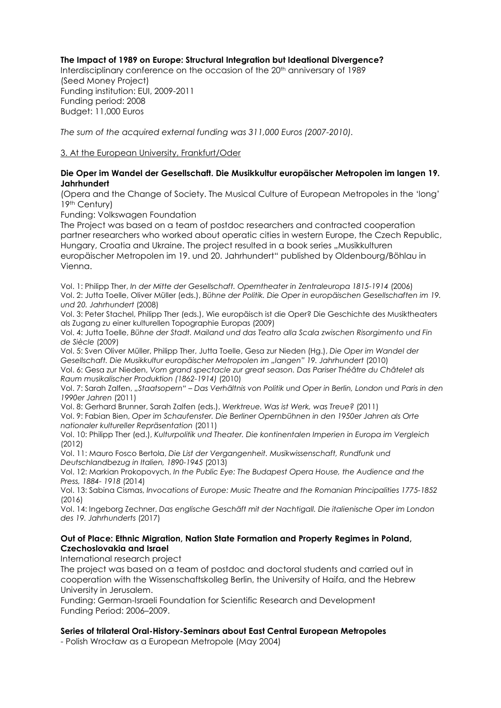### **The Impact of 1989 on Europe: Structural Integration but Ideational Divergence?**

Interdisciplinary conference on the occasion of the 20<sup>th</sup> anniversary of 1989 (Seed Money Project) Funding institution: EUI, 2009-2011 Funding period: 2008 Budget: 11,000 Euros

*The sum of the acquired external funding was 311,000 Euros (2007-2010).*

### 3. At the European University, Frankfurt/Oder

#### **Die Oper im Wandel der Gesellschaft. Die Musikkultur europäischer Metropolen im langen 19. Jahrhundert**

(Opera and the Change of Society. The Musical Culture of European Metropoles in the 'long' 19th Century)

Funding: Volkswagen Foundation

The Project was based on a team of postdoc researchers and contracted cooperation partner researchers who worked about operatic cities in western Europe, the Czech Republic, Hungary, Croatia and Ukraine. The project resulted in a book series ..Musikkulturen europäischer Metropolen im 19. und 20. Jahrhundert" published by Oldenbourg/Böhlau in

Vienna.

Vol. 1: Philipp Ther, *In der Mitte der Gesellschaft. Operntheater in Zentraleuropa 1815-1914* (2006) Vol. 2: Jutta Toelle, Oliver Müller (eds.), *Bühne der Politik. Die Oper in europäischen Gesellschaften im 19. und 20. Jahrhundert* (2008)

Vol. 3: Peter Stachel, Philipp Ther (eds.), Wie europäisch ist die Oper? Die Geschichte des Musiktheaters als Zugang zu einer kulturellen Topographie Europas (2009)

Vol. 4: Jutta Toelle, *Bühne der Stadt. Mailand und das Teatro alla Scala zwischen Risorgimento und Fin de Siècle* (2009)

Vol. 5: Sven Oliver Müller, Philipp Ther, Jutta Toelle, Gesa zur Nieden (Hg.), *Die Oper im Wandel der Gesellschaft. Die Musikkultur europäischer Metropolen im "langen" 19. Jahrhundert* (2010) Vol. 6: Gesa zur Nieden, *Vom grand spectacle zur great season. Das Pariser Théâtre du Châtelet als Raum musikalischer Produktion (1862-1914)* (2010)

Vol. 7: Sarah Zalfen, *"Staatsopern" – Das Verhältnis von Politik und Oper in Berlin, London und Paris in den 1990er Jahren* (2011)

Vol. 8: Gerhard Brunner, Sarah Zalfen (eds.), *Werktreue. Was ist Werk, was Treue?* (2011) Vol. 9: Fabian Bien, *Oper im Schaufenster. Die Berliner Opernbühnen in den 1950er Jahren als Orte nationaler kultureller Repräsentation* (2011)

Vol. 10: Philipp Ther (ed.), *Kulturpolitik und Theater. Die kontinentalen Imperien in Europa im Vergleich* (2012)

Vol. 11: Mauro Fosco Bertola, *[Die List der Vergangenheit.](javascript:ShowBookSingle() Musikwissenschaft, Rundfunk und Deutschlandbezug in Italien, 1890-1945* (2013)

Vol. 12: Markian Prokopovych, *In the Public Eye: The Budapest Opera House, the Audience and the Press, 1884- 1918* (2014)

Vol. 13: Sabina Cismas, *Invocations of Europe: Music Theatre and the Romanian Principalities 1775-1852*  (2016)

Vol. 14: Ingeborg Zechner, *Das englische Geschäft mit der Nachtigall. Die italienische Oper im London des 19. Jahrhunderts* (2017)

#### **Out of Place: Ethnic Migration, Nation State Formation and Property Regimes in Poland, Czechoslovakia and Israel**

International research project

The project was based on a team of postdoc and doctoral students and carried out in cooperation with the Wissenschaftskolleg Berlin, the University of Haifa, and the Hebrew University in Jerusalem.

Funding: German-Israeli Foundation for Scientific Research and Development Funding Period: 2006–2009.

#### **Series of trilateral Oral-History-Seminars about East Central European Metropoles**

- Polish Wrocław as a European Metropole (May 2004)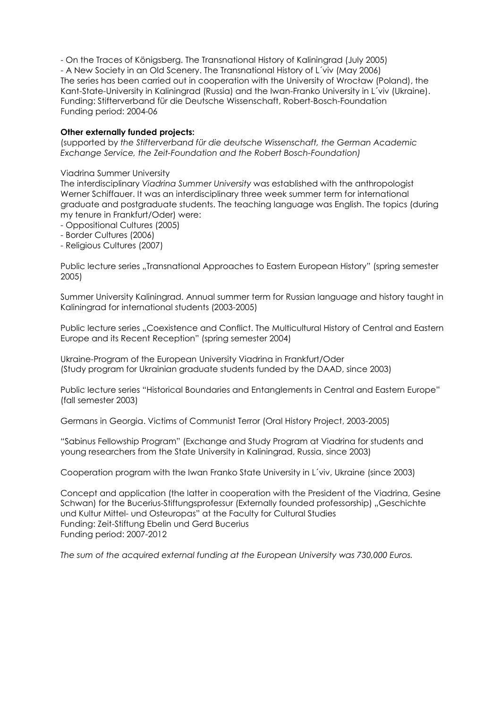- On the Traces of Königsberg. The Transnational History of Kaliningrad (July 2005) - A New Society in an Old Scenery. The Transnational History of L´viv (May 2006) The series has been carried out in cooperation with the University of Wrocław (Poland), the Kant-State-University in Kaliningrad (Russia) and the Iwan-Franko University in L´viv (Ukraine). Funding: Stifterverband für die Deutsche Wissenschaft, Robert-Bosch-Foundation Funding period: 2004-06

### **Other externally funded projects:**

(supported by *the Stifterverband für die deutsche Wissenschaft, the German Academic Exchange Service, the Zeit-Foundation and the Robert Bosch-Foundation)*

#### Viadrina Summer University

The interdisciplinary *Viadrina Summer University* was established with the anthropologist Werner Schiffauer. It was an interdisciplinary three week summer term for international graduate and postgraduate students. The teaching language was English. The topics (during my tenure in Frankfurt/Oder) were:

- Oppositional Cultures (2005)

- Border Cultures (2006)

- Religious Cultures (2007)

Public lecture series ..Transnational Approaches to Eastern European History" (spring semester 2005)

Summer University Kaliningrad. Annual summer term for Russian language and history taught in Kaliningrad for international students (2003-2005)

Public lecture series "Coexistence and Conflict. The Multicultural History of Central and Eastern Europe and its Recent Reception" (spring semester 2004)

Ukraine-Program of the European University Viadrina in Frankfurt/Oder (Study program for Ukrainian graduate students funded by the DAAD, since 2003)

Public lecture series "Historical Boundaries and Entanglements in Central and Eastern Europe" (fall semester 2003)

Germans in Georgia. Victims of Communist Terror (Oral History Project, 2003-2005)

"Sabinus Fellowship Program" (Exchange and Study Program at Viadrina for students and young researchers from the State University in Kaliningrad, Russia, since 2003)

Cooperation program with the Iwan Franko State University in L´viv, Ukraine (since 2003)

Concept and application (the latter in cooperation with the President of the Viadrina, Gesine Schwan) for the Bucerius-Stiftungsprofessur (Externally founded professorship) "Geschichte und Kultur Mittel- und Osteuropas" at the Faculty for Cultural Studies Funding: Zeit-Stiftung Ebelin und Gerd Bucerius Funding period: 2007-2012

*The sum of the acquired external funding at the European University was 730,000 Euros.*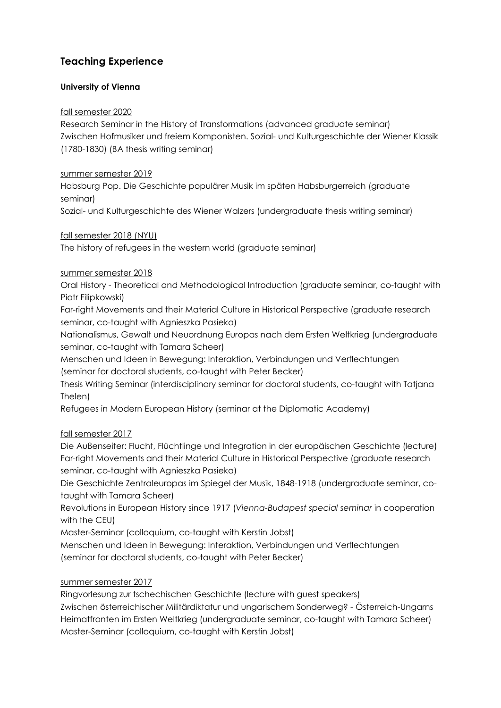## **Teaching Experience**

## **University of Vienna**

## fall semester 2020

Research Seminar in the History of Transformations (advanced graduate seminar) Zwischen Hofmusiker und freiem Komponisten. Sozial- und Kulturgeschichte der Wiener Klassik (1780-1830) (BA thesis writing seminar)

## summer semester 2019

Habsburg Pop. Die Geschichte populärer Musik im späten Habsburgerreich (graduate seminar)

Sozial- und Kulturgeschichte des Wiener Walzers (undergraduate thesis writing seminar)

## fall semester 2018 (NYU)

The history of refugees in the western world (graduate seminar)

## summer semester 2018

Oral History - Theoretical and Methodological Introduction (graduate seminar, co-taught with Piotr Filipkowski)

Far-right Movements and their Material Culture in Historical Perspective (graduate research seminar, co-taught with Agnieszka Pasieka)

Nationalismus, Gewalt und Neuordnung Europas nach dem Ersten Weltkrieg (undergraduate seminar, co-taught with Tamara Scheer)

Menschen und Ideen in Bewegung: Interaktion, Verbindungen und Verflechtungen (seminar for doctoral students, co-taught with Peter Becker)

Thesis Writing Seminar (interdisciplinary seminar for doctoral students, co-taught with Tatjana Thelen)

Refugees in Modern European History (seminar at the Diplomatic Academy)

## fall semester 2017

Die Außenseiter: Flucht, Flüchtlinge und Integration in der europäischen Geschichte (lecture) Far-right Movements and their Material Culture in Historical Perspective (graduate research seminar, co-taught with Agnieszka Pasieka)

Die Geschichte Zentraleuropas im Spiegel der Musik, 1848-1918 (undergraduate seminar, cotaught with Tamara Scheer)

Revolutions in European History since 1917 (*Vienna-Budapest special seminar* in cooperation with the CEU)

Master-Seminar (colloquium, co-taught with Kerstin Jobst)

Menschen und Ideen in Bewegung: Interaktion, Verbindungen und Verflechtungen (seminar for doctoral students, co-taught with Peter Becker)

## summer semester 2017

Ringvorlesung zur tschechischen Geschichte (lecture with guest speakers) Zwischen österreichischer Militärdiktatur und ungarischem Sonderweg? - Österreich-Ungarns Heimatfronten im Ersten Weltkrieg (undergraduate seminar, co-taught with Tamara Scheer) Master-Seminar (colloquium, co-taught with Kerstin Jobst)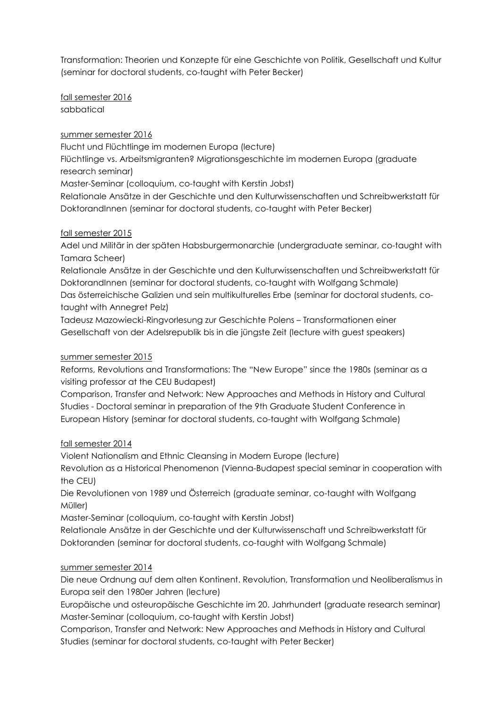Transformation: Theorien und Konzepte für eine Geschichte von Politik, Gesellschaft und Kultur (seminar for doctoral students, co-taught with Peter Becker)

fall semester 2016 sabbatical

summer semester 2016

Flucht und Flüchtlinge im modernen Europa (lecture)

Flüchtlinge vs. Arbeitsmigranten? Migrationsgeschichte im modernen Europa (graduate research seminar)

Master-Seminar (colloquium, co-taught with Kerstin Jobst)

Relationale Ansätze in der Geschichte und den Kulturwissenschaften und Schreibwerkstatt für DoktorandInnen (seminar for doctoral students, co-taught with Peter Becker)

## fall semester 2015

Adel und Militär in der späten Habsburgermonarchie (undergraduate seminar, co-taught with Tamara Scheer)

Relationale Ansätze in der Geschichte und den Kulturwissenschaften und Schreibwerkstatt für DoktorandInnen (seminar for doctoral students, co-taught with Wolfgang Schmale) Das österreichische Galizien und sein multikulturelles Erbe (seminar for doctoral students, cotaught with Annegret Pelz)

Tadeusz Mazowiecki-Ringvorlesung zur Geschichte Polens – Transformationen einer Gesellschaft von der Adelsrepublik bis in die jüngste Zeit (lecture with guest speakers)

## summer semester 2015

Reforms, Revolutions and Transformations: The "New Europe" since the 1980s (seminar as a visiting professor at the CEU Budapest)

Comparison, Transfer and Network: New Approaches and Methods in History and Cultural Studies - Doctoral seminar in preparation of the 9th Graduate Student Conference in European History (seminar for doctoral students, co-taught with Wolfgang Schmale)

## fall semester 2014

Violent Nationalism and Ethnic Cleansing in Modern Europe (lecture)

Revolution as a Historical Phenomenon (Vienna-Budapest special seminar in cooperation with the CEU)

Die Revolutionen von 1989 und Österreich (graduate seminar, co-taught with Wolfgang Müller)

Master-Seminar (colloquium, co-taught with Kerstin Jobst)

Relationale Ansätze in der Geschichte und der Kulturwissenschaft und Schreibwerkstatt für Doktoranden (seminar for doctoral students, co-taught with Wolfgang Schmale)

## summer semester 2014

Die neue Ordnung auf dem alten Kontinent. Revolution, Transformation und Neoliberalismus in Europa seit den 1980er Jahren (lecture)

Europäische und osteuropäische Geschichte im 20. Jahrhundert (graduate research seminar) Master-Seminar (colloquium, co-taught with Kerstin Jobst)

Comparison, Transfer and Network: New Approaches and Methods in History and Cultural Studies (seminar for doctoral students, co-taught with Peter Becker)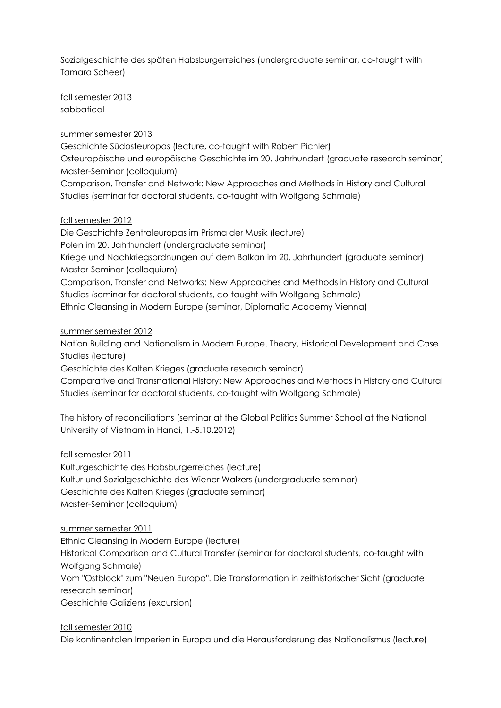Sozialgeschichte des späten Habsburgerreiches (undergraduate seminar, co-taught with Tamara Scheer)

fall semester 2013 sabbatical

### summer semester 2013

Geschichte Südosteuropas (lecture, co-taught with Robert Pichler) Osteuropäische und europäische Geschichte im 20. Jahrhundert (graduate research seminar) Master-Seminar (colloquium) Comparison, Transfer and Network: New Approaches and Methods in History and Cultural

Studies (seminar for doctoral students, co-taught with Wolfgang Schmale)

### fall semester 2012

Die Geschichte Zentraleuropas im Prisma der Musik (lecture) Polen im 20. Jahrhundert (undergraduate seminar) Kriege und Nachkriegsordnungen auf dem Balkan im 20. Jahrhundert (graduate seminar) Master-Seminar (colloquium) Comparison, Transfer and Networks: New Approaches and Methods in History and Cultural Studies (seminar for doctoral students, co-taught with Wolfgang Schmale) Ethnic Cleansing in Modern Europe (seminar, Diplomatic Academy Vienna)

### summer semester 2012

Nation Building and Nationalism in Modern Europe. Theory, Historical Development and Case Studies (lecture)

Geschichte des Kalten Krieges (graduate research seminar)

Comparative and Transnational History: New Approaches and Methods in History and Cultural Studies (seminar for doctoral students, co-taught with Wolfgang Schmale)

The history of reconciliations (seminar at the Global Politics Summer School at the National University of Vietnam in Hanoi, 1.-5.10.2012)

fall semester 2011

Kulturgeschichte des Habsburgerreiches (lecture) Kultur-und Sozialgeschichte des Wiener Walzers (undergraduate seminar) Geschichte des Kalten Krieges (graduate seminar) Master-Seminar (colloquium)

summer semester 2011

Ethnic Cleansing in Modern Europe (lecture)

Historical Comparison and Cultural Transfer (seminar for doctoral students, co-taught with Wolfgang Schmale)

Vom "Ostblock" zum "Neuen Europa". Die Transformation in zeithistorischer Sicht (graduate research seminar)

Geschichte Galiziens (excursion)

fall semester 2010 Die kontinentalen Imperien in Europa und die Herausforderung des Nationalismus (lecture)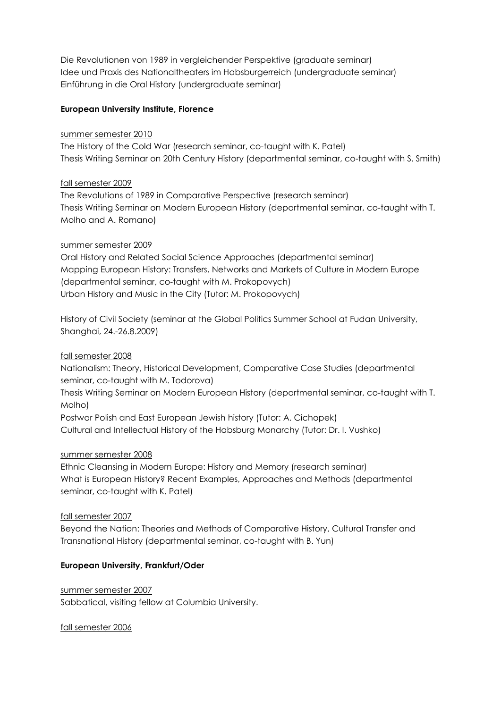Die Revolutionen von 1989 in vergleichender Perspektive (graduate seminar) Idee und Praxis des Nationaltheaters im Habsburgerreich (undergraduate seminar) Einführung in die Oral History (undergraduate seminar)

### **European University Institute, Florence**

#### summer semester 2010

The History of the Cold War (research seminar, co-taught with K. Patel) Thesis Writing Seminar on 20th Century History (departmental seminar, co-taught with S. Smith)

### fall semester 2009

The Revolutions of 1989 in Comparative Perspective (research seminar) Thesis Writing Seminar on Modern European History (departmental seminar, co-taught with T. Molho and A. Romano)

### summer semester 2009

Oral History and Related Social Science Approaches (departmental seminar) Mapping European History: Transfers, Networks and Markets of Culture in Modern Europe (departmental seminar, co-taught with M. Prokopovych) Urban History and Music in the City (Tutor: M. Prokopovych)

History of Civil Society (seminar at the Global Politics Summer School at Fudan University, Shanghai, 24.-26.8.2009)

fall semester 2008

Nationalism: Theory, Historical Development, Comparative Case Studies (departmental seminar, co-taught with M. Todorova)

Thesis Writing Seminar on Modern European History (departmental seminar, co-taught with T. Molho)

Postwar Polish and East European Jewish history (Tutor: A. Cichopek)

Cultural and Intellectual History of the Habsburg Monarchy (Tutor: Dr. I. Vushko)

#### summer semester 2008

Ethnic Cleansing in Modern Europe: History and Memory (research seminar) What is European History? Recent Examples, Approaches and Methods (departmental seminar, co-taught with K. Patel)

## fall semester 2007

Beyond the Nation: Theories and Methods of Comparative History, Cultural Transfer and Transnational History (departmental seminar, co-taught with B. Yun)

## **European University, Frankfurt/Oder**

summer semester 2007 Sabbatical, visiting fellow at Columbia University.

fall semester 2006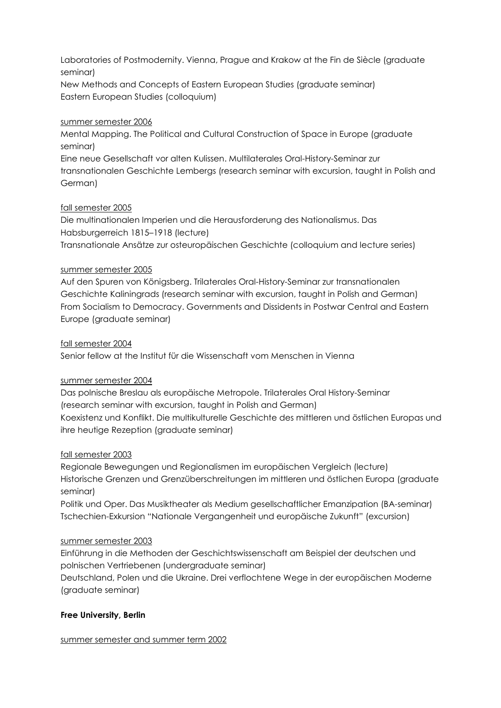Laboratories of Postmodernity. Vienna, Prague and Krakow at the Fin de Siècle (graduate seminar)

New Methods and Concepts of Eastern European Studies (graduate seminar) Eastern European Studies (colloquium)

### summer semester 2006

Mental Mapping. The Political and Cultural Construction of Space in Europe (graduate seminar)

Eine neue Gesellschaft vor alten Kulissen. Multilaterales Oral-History-Seminar zur transnationalen Geschichte Lembergs (research seminar with excursion, taught in Polish and German)

## fall semester 2005

Die multinationalen Imperien und die Herausforderung des Nationalismus. Das Habsburgerreich 1815–1918 (lecture) Transnationale Ansätze zur osteuropäischen Geschichte (colloquium and lecture series)

### summer semester 2005

Auf den Spuren von Königsberg. Trilaterales Oral-History-Seminar zur transnationalen Geschichte Kaliningrads (research seminar with excursion, taught in Polish and German) From Socialism to Democracy. Governments and Dissidents in Postwar Central and Eastern Europe (graduate seminar)

### fall semester 2004

Senior fellow at the Institut für die Wissenschaft vom Menschen in Vienna

## summer semester 2004

Das polnische Breslau als europäische Metropole. Trilaterales Oral History-Seminar (research seminar with excursion, taught in Polish and German) Koexistenz und Konflikt. Die multikulturelle Geschichte des mittleren und östlichen Europas und ihre heutige Rezeption (graduate seminar)

#### fall semester 2003

Regionale Bewegungen und Regionalismen im europäischen Vergleich (lecture) Historische Grenzen und Grenzüberschreitungen im mittleren und östlichen Europa (graduate seminar)

Politik und Oper. Das Musiktheater als Medium gesellschaftlicher Emanzipation (BA-seminar) Tschechien-Exkursion "Nationale Vergangenheit und europäische Zukunft" (excursion)

#### summer semester 2003

Einführung in die Methoden der Geschichtswissenschaft am Beispiel der deutschen und polnischen Vertriebenen (undergraduate seminar)

Deutschland, Polen und die Ukraine. Drei verflochtene Wege in der europäischen Moderne (graduate seminar)

## **Free University, Berlin**

summer semester and summer term 2002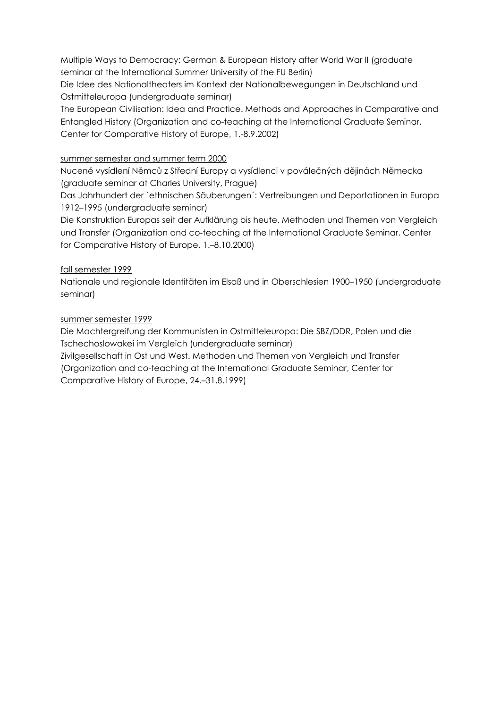Multiple Ways to Democracy: German & European History after World War II (graduate seminar at the International Summer University of the FU Berlin)

Die Idee des Nationaltheaters im Kontext der Nationalbewegungen in Deutschland und Ostmitteleuropa (undergraduate seminar)

The European Civilisation: Idea and Practice. Methods and Approaches in Comparative and Entangled History (Organization and co-teaching at the International Graduate Seminar, Center for Comparative History of Europe, 1.-8.9.2002)

## summer semester and summer term 2000

Nucené vysídlení Němců z Střední Europy a vysídlenci v poválečných dějinách Německa (graduate seminar at Charles University, Prague)

Das Jahrhundert der `ethnischen Säuberungen´: Vertreibungen und Deportationen in Europa 1912–1995 (undergraduate seminar)

Die Konstruktion Europas seit der Aufklärung bis heute. Methoden und Themen von Vergleich und Transfer (Organization and co-teaching at the International Graduate Seminar, Center for Comparative History of Europe, 1.–8.10.2000)

## fall semester 1999

Nationale und regionale Identitäten im Elsaß und in Oberschlesien 1900–1950 (undergraduate seminar)

## summer semester 1999

Die Machtergreifung der Kommunisten in Ostmitteleuropa: Die SBZ/DDR, Polen und die Tschechoslowakei im Vergleich (undergraduate seminar)

Zivilgesellschaft in Ost und West. Methoden und Themen von Vergleich und Transfer (Organization and co-teaching at the International Graduate Seminar, Center for Comparative History of Europe, 24.–31.8.1999)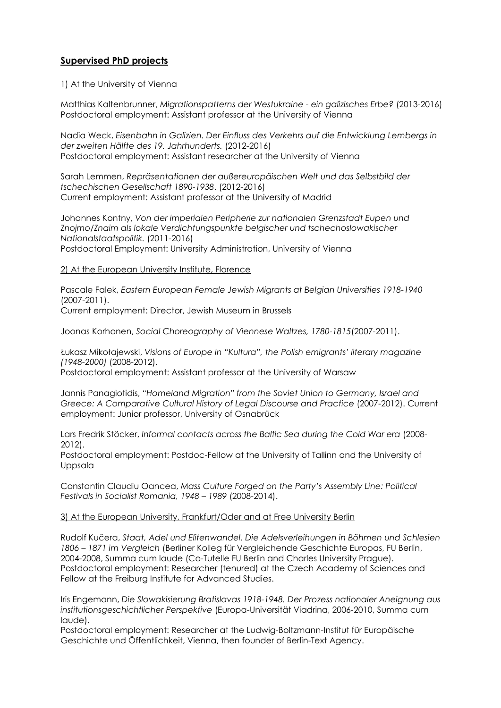## **Supervised PhD projects**

#### 1) At the University of Vienna

Matthias Kaltenbrunner, *Migrationspatterns der Westukraine - ein galizisches Erbe?* (2013-2016) Postdoctoral employment: Assistant professor at the University of Vienna

Nadia Weck, *Eisenbahn in Galizien. Der Einfluss des Verkehrs auf die Entwicklung Lembergs in der zweiten Hälfte des 19. Jahrhunderts.* (2012-2016) Postdoctoral employment: Assistant researcher at the University of Vienna

Sarah Lemmen, *Repräsentationen der außereuropäischen Welt und das Selbstbild der tschechischen Gesellschaft 1890-1938*. (2012-2016) Current employment: Assistant professor at the University of Madrid

Johannes Kontny, *Von der imperialen Peripherie zur nationalen Grenzstadt Eupen und Znojmo/Znaim als lokale Verdichtungspunkte belgischer und tschechoslowakischer Nationalstaatspolitik.* (2011-2016) Postdoctoral Employment: University Administration, University of Vienna

### 2) At the European University Institute, Florence

Pascale Falek, *Eastern European Female Jewish Migrants at Belgian Universities 1918-1940* (2007-2011).

Current employment: Director, Jewish Museum in Brussels

Joonas Korhonen, *Social Choreography of Viennese Waltzes, 1780-1815*(2007-2011).

Łukasz Mikołajewski, *Visions of Europe in "Kultura", the Polish emigrants' literary magazine (1948-2000)* (2008-2012).

Postdoctoral employment: Assistant professor at the University of Warsaw

Jannis Panagiotidis, *"Homeland Migration" from the Soviet Union to Germany, Israel and Greece: A Comparative Cultural History of Legal Discourse and Practice* (2007-2012). Current employment: Junior professor, University of Osnabrück

Lars Fredrik Stöcker, *Informal contacts across the Baltic Sea during the Cold War era* (2008- 2012).

Postdoctoral employment: Postdoc-Fellow at the University of Tallinn and the University of Uppsala

Constantin Claudiu Oancea, *Mass Culture Forged on the Party's Assembly Line: Political Festivals in Socialist Romania, 1948 – 1989* (2008-2014).

#### 3) At the European University, Frankfurt/Oder and at Free University Berlin

Rudolf Kučera, *Staat, Adel und Elitenwandel. Die Adelsverleihungen in Böhmen und Schlesien 1806 – 1871 im Vergleich* (Berliner Kolleg für Vergleichende Geschichte Europas, FU Berlin, 2004-2008, Summa cum laude (Co-Tutelle FU Berlin and Charles University Prague). Postdoctoral employment: Researcher (tenured) at the Czech Academy of Sciences and Fellow at the Freiburg Institute for Advanced Studies.

Iris Engemann, *Die Slowakisierung Bratislavas 1918-1948. Der Prozess nationaler Aneignung aus institutionsgeschichtlicher Perspektive* (Europa-Universität Viadrina, 2006-2010, Summa cum laude).

Postdoctoral employment: Researcher at the Ludwig-Boltzmann-Institut für Europäische Geschichte und Öffentlichkeit, Vienna, then founder of Berlin-Text Agency.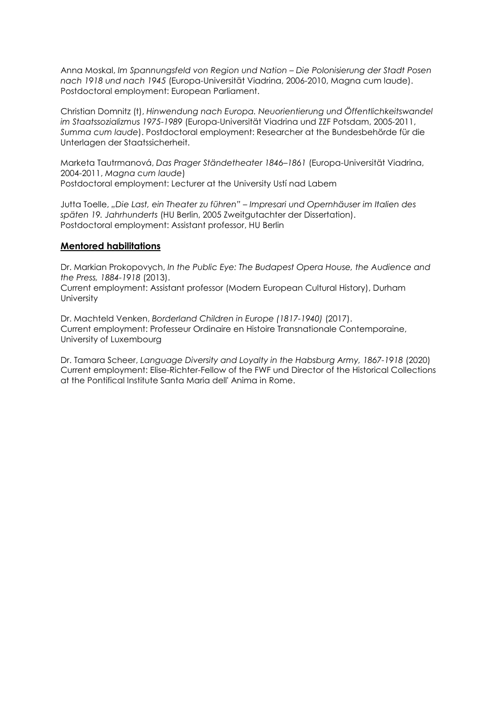Anna Moskal, *Im Spannungsfeld von Region und Nation – Die Polonisierung der Stadt Posen nach 1918 und nach 1945* (Europa-Universität Viadrina, 2006-2010, Magna cum laude). Postdoctoral employment: European Parliament.

Christian Domnitz (t), *Hinwendung nach Europa. Neuorientierung und Öffentlichkeitswandel im Staatssozializmus 1975-1989* (Europa-Universität Viadrina und ZZF Potsdam, 2005-2011, *Summa cum laude*). Postdoctoral employment: Researcher at the Bundesbehörde für die Unterlagen der Staatssicherheit.

Marketa Tautrmanová, *Das Prager Ständetheater 1846–1861* (Europa-Universität Viadrina, 2004-2011, *Magna cum laude*) Postdoctoral employment: Lecturer at the University Ustí nad Labem

Jutta Toelle, *"Die Last, ein Theater zu führen" – Impresari und Opernhäuser im Italien des späten 19. Jahrhunderts* (HU Berlin, 2005 Zweitgutachter der Dissertation). Postdoctoral employment: Assistant professor, HU Berlin

### **Mentored habilitations**

Dr. Markian Prokopovych, *In the Public Eye: The Budapest Opera House, the Audience and the Press, 1884-1918* (2013). Current employment: Assistant professor (Modern European Cultural History), Durham **University** 

Dr. Machteld Venken, *Borderland Children in Europe (1817-1940)* (2017). Current employment: Professeur Ordinaire en Histoire Transnationale Contemporaine, University of Luxembourg

Dr. Tamara Scheer, *Language Diversity and Loyalty in the Habsburg Army, 1867-1918* (2020) Current employment: Elise-Richter-Fellow of the FWF und Director of the Historical Collections at the Pontifical Institute Santa Maria dell' Anima in Rome.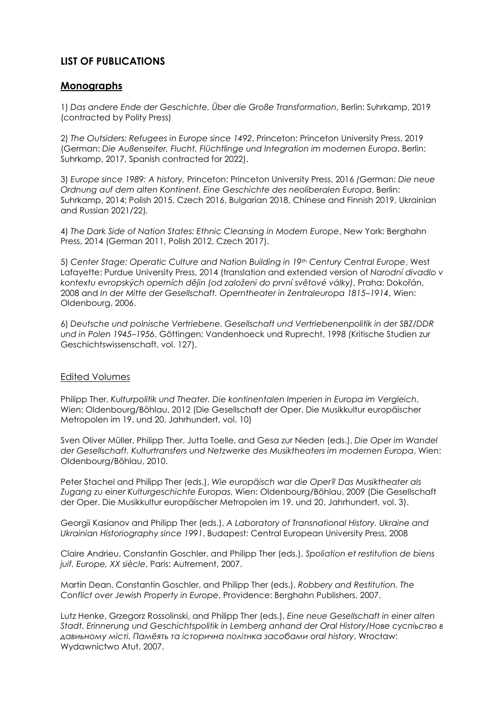## **LIST OF PUBLICATIONS**

## **Monographs**

1) *Das andere Ende der Geschichte. Über die Große Transformation*, Berlin: Suhrkamp, 2019 (contracted by Polity Press)

2) *The Outsiders: Refugees in Europe since 1492*, Princeton: Princeton University Press, 2019 (German: *Die Außenseiter. Flucht, Flüchtlinge und Integration im modernen Europa*, Berlin: Suhrkamp, 2017, Spanish contracted for 2022).

3) *Europe since 1989: A history,* Princeton: Princeton University Press, 2016 *(*German: *Die neue Ordnung auf dem alten Kontinent. Eine Geschichte des neoliberalen Europa*, Berlin: Suhrkamp, 2014; Polish 2015, Czech 2016, Bulgarian 2018, Chinese and Finnish 2019, Ukrainian and Russian 2021/22)*.*

4) *The Dark Side of Nation States: Ethnic Cleansing in Modern Europe*, New York: Berghahn Press, 2014 (German 2011, Polish 2012, Czech 2017).

5) *Center Stage: Operatic Culture and Nation Building in 19th Century Central Europe*, West Lafayette: Purdue University Press, 2014 (translation and extended version of *Narodní divadlo v kontextu evropských operních dějin (od založeni do první světové války)*, Praha: Dokořán, 2008 and *In der Mitte der Gesellschaft. Operntheater in Zentraleuropa 1815–1914*, Wien: Oldenbourg, 2006.

6) *Deutsche und polnische Vertriebene. Gesellschaft und Vertriebenenpolitik in der SBZ/DDR und in Polen 1945–1956*, Göttingen: Vandenhoeck und Ruprecht, 1998 (Kritische Studien zur Geschichtswissenschaft, vol. 127).

## Edited Volumes

Philipp Ther, *Kulturpolitik und Theater. Die kontinentalen Imperien in Europa im Vergleich*, Wien: Oldenbourg/Böhlau, 2012 (Die Gesellschaft der Oper. Die Musikkultur europäischer Metropolen im 19. und 20. Jahrhundert, vol. 10)

Sven Oliver Müller, Philipp Ther, Jutta Toelle, and Gesa zur Nieden (eds.), *Die Oper im Wandel der Gesellschaft. Kulturtransfers und Netzwerke des Musiktheaters im modernen Europa*, Wien: Oldenbourg/Böhlau, 2010.

Peter Stachel and Philipp Ther (eds.), *Wie europäisch war die Oper? Das Musiktheater als Zugang zu einer Kulturgeschichte Europas*, Wien: Oldenbourg/Böhlau, 2009 (Die Gesellschaft der Oper. Die Musikkultur europäischer Metropolen im 19. und 20. Jahrhundert, vol. 3).

Georgii Kasianov and Philipp Ther (eds.), *A Laboratory of Transnational History. Ukraine and Ukrainian Historiography since 1991*, Budapest: Central European University Press, 2008

Claire Andrieu, Constantin Goschler, and Philipp Ther (eds.), *Spoliation et restitution de biens juif. Europe, XX siècle*, Paris: Autrement, 2007.

Martin Dean, Constantin Goschler, and Philipp Ther (eds.), *Robbery and Restitution. The Conflict over Jewish Property in Europe*, Providence: Berghahn Publishers, 2007.

Lutz Henke, Grzegorz Rossolinski, and Philipp Ther (eds.), *Eine neue Gesellschaft in einer alten Stadt. Erinnerung und Geschichtspolitik in Lemberg anhand der Oral History/Нове суспіьство в давиьному місті. Памëять та історична політнка засобами oral history*, Wrocław: Wydawnictwo Atut, 2007.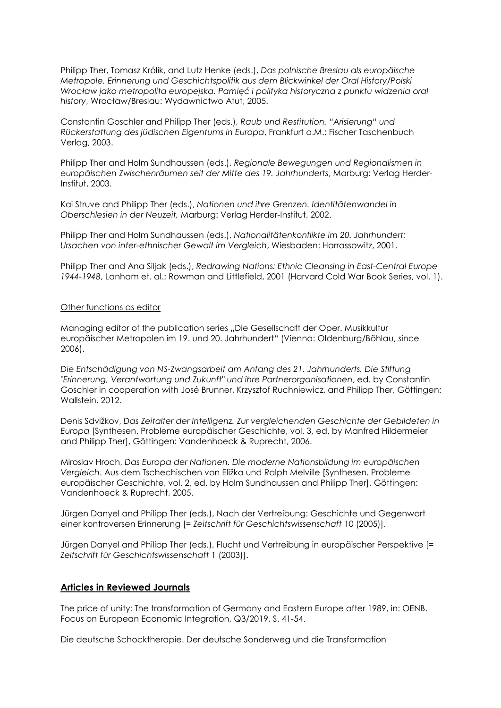Philipp Ther, Tomasz Królik, and Lutz Henke (eds.), *Das polnische Breslau als europäische Metropole. Erinnerung und Geschichtspolitik aus dem Blickwinkel der Oral History/Polski Wrocław jako metropolita europejska. Pamięć i polityka historyczna z punktu widzenia oral history*, Wrocław/Breslau: Wydawnictwo Atut, 2005.

Constantin Goschler and Philipp Ther (eds.), *Raub und Restitution. "Arisierung" und Rückerstattung des jüdischen Eigentums in Europa*, Frankfurt a.M.: Fischer Taschenbuch Verlag, 2003.

Philipp Ther and Holm Sundhaussen (eds.), *Regionale Bewegungen und Regionalismen in europäischen Zwischenräumen seit der Mitte des 19. Jahrhunderts*, Marburg: Verlag Herder-Institut, 2003.

Kai Struve and Philipp Ther (eds.), *Nationen und ihre Grenzen. Identitätenwandel in Oberschlesien in der Neuzeit,* Marburg: Verlag Herder-Institut, 2002.

Philipp Ther and Holm Sundhaussen (eds.), *Nationalitätenkonflikte im 20. Jahrhundert: Ursachen von inter-ethnischer Gewalt im Vergleich*, Wiesbaden: Harrassowitz, 2001.

Philipp Ther and Ana Siljak (eds.), *Redrawing Nations: Ethnic Cleansing in East-Central Europe 1944-1948*, Lanham et. al.: Rowman and Littlefield, 2001 (Harvard Cold War Book Series, vol. 1).

#### Other functions as editor

Managing editor of the publication series "Die Gesellschaft der Oper. Musikkultur europäischer Metropolen im 19. und 20. Jahrhundert" (Vienna: Oldenburg/Böhlau, since 2006).

*Die Entschädigung von NS-Zwangsarbeit am Anfang des 21. Jahrhunderts. Die Stiftung "Erinnerung, Verantwortung und Zukunft" und ihre Partnerorganisationen*, ed. by Constantin Goschler in cooperation with José Brunner, Krzysztof Ruchniewicz, and Philipp Ther, Göttingen: Wallstein, 2012.

Denis Sdvižkov, *Das Zeitalter der Intelligenz. Zur vergleichenden Geschichte der Gebildeten in Europa* [Synthesen. Probleme europäischer Geschichte, vol. 3, ed. by Manfred Hildermeier and Philipp Ther], Göttingen: Vandenhoeck & Ruprecht, 2006.

Miroslav Hroch, *Das Europa der Nationen. Die moderne Nationsbildung im europäischen Vergleich*. Aus dem Tschechischen von Eližka und Ralph Melville [Synthesen. Probleme europäischer Geschichte, vol. 2, ed. by Holm Sundhaussen and Philipp Ther], Göttingen: Vandenhoeck & Ruprecht, 2005.

Jürgen Danyel and Philipp Ther (eds.), Nach der Vertreibung: Geschichte und Gegenwart einer kontroversen Erinnerung [= *Zeitschrift für Geschichtswissenschaft* 10 (2005)].

Jürgen Danyel and Philipp Ther (eds.), Flucht und Vertreibung in europäischer Perspektive [= *Zeitschrift für Geschichtswissenschaft* 1 (2003)].

#### **Articles in Reviewed Journals**

The price of unity: The transformation of Germany and Eastern Europe after 1989, in: OENB. Focus on European Economic Integration, Q3/2019, S. 41-54.

Die deutsche Schocktherapie. Der deutsche Sonderweg und die Transformation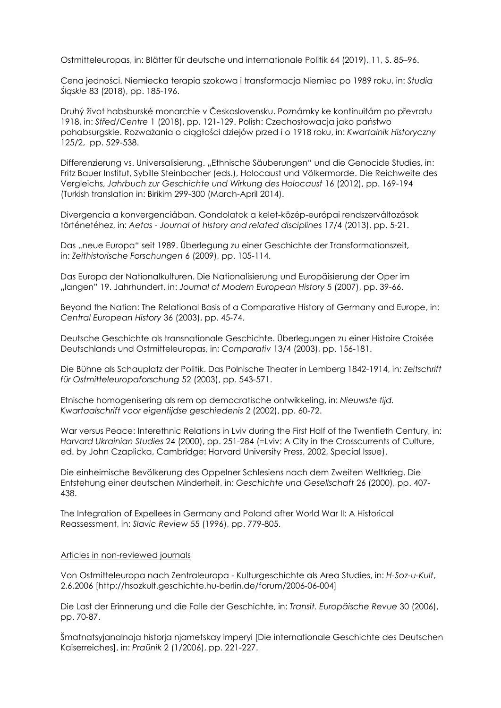Ostmitteleuropas, in: Blätter für deutsche und internationale Politik 64 (2019), 11, S. 85–96.

Cena jedności. Niemiecka terapia szokowa i transformacja Niemiec po 1989 roku, in: *Studia Śląskie* 83 (2018), pp. 185-196.

Druhý život habsburské monarchie v Československu. Poznámky ke kontinuitám po převratu 1918, in: *Střed/Centre* 1 (2018), pp. 121-129. Polish: Czechosłowacja jako państwo pohabsurgskie. Rozważania o ciągłości dziejów przed i o 1918 roku, in: *Kwartalnik Historyczny* 125/2, pp. 529-538.

Differenzierung vs. Universalisierung. "Ethnische Säuberungen" und die Genocide Studies, in: Fritz Bauer Institut, Sybille Steinbacher (eds.), Holocaust und Völkermorde. Die Reichweite des Vergleichs, *Jahrbuch zur Geschichte und Wirkung des Holocaust* 16 (2012), pp. 169-194 (Turkish translation in: Birikim 299-300 (March-April 2014).

Divergencia a konvergenciában. Gondolatok a kelet-közép-európai rendszerváltozások történetéhez, in: *Aetas - Journal of history and related disciplines* 17/4 (2013), pp. 5-21.

Das "neue Europa" seit 1989. Überlegung zu einer Geschichte der Transformationszeit, in: *Zeithistorische Forschungen* 6 (2009), pp. 105-114.

Das Europa der Nationalkulturen. Die Nationalisierung und Europäisierung der Oper im "langen" 19. Jahrhundert, in: *Journal of Modern European History* 5 (2007), pp. 39-66.

Beyond the Nation: The Relational Basis of a Comparative History of Germany and Europe, in: *Central European History* 36 (2003), pp. 45-74.

Deutsche Geschichte als transnationale Geschichte. Überlegungen zu einer Histoire Croisée Deutschlands und Ostmitteleuropas, in: *Comparativ* 13/4 (2003), pp. 156-181.

Die Bühne als Schauplatz der Politik. Das Polnische Theater in Lemberg 1842-1914, in: *Zeitschrift für Ostmitteleuropaforschung* 52 (2003), pp. 543-571.

Etnische homogenisering als rem op democratische ontwikkeling, in: *Nieuwste tijd. Kwartaalschrift voor eigentijdse geschiedenis* 2 (2002), pp. 60-72.

War versus Peace: Interethnic Relations in Lviv during the First Half of the Twentieth Century, in: *Harvard Ukrainian Studies* 24 (2000), pp. 251-284 (=Lviv: A City in the Crosscurrents of Culture, ed. by John Czaplicka, Cambridge: Harvard University Press, 2002, Special Issue).

Die einheimische Bevölkerung des Oppelner Schlesiens nach dem Zweiten Weltkrieg. Die Entstehung einer deutschen Minderheit, in: *Geschichte und Gesellschaft* 26 (2000), pp. 407- 438.

The Integration of Expellees in Germany and Poland after World War II: A Historical Reassessment, in: *Slavic Review* 55 (1996), pp. 779-805.

#### Articles in non-reviewed journals

Von Ostmitteleuropa nach Zentraleuropa - Kulturgeschichte als Area Studies, in: *H-Soz-u-Kult*, 2.6.2006 [http://hsozkult.geschichte.hu-berlin.de/forum/2006-06-004]

Die Last der Erinnerung und die Falle der Geschichte, in: *Transit. Europäische Revue* 30 (2006), pp. 70-87.

Šmatnatsyjanalnaja historja njametskay imperyi [Die internationale Geschichte des Deutschen Kaiserreiches], in: *Praŭnik* 2 (1/2006), pp. 221-227.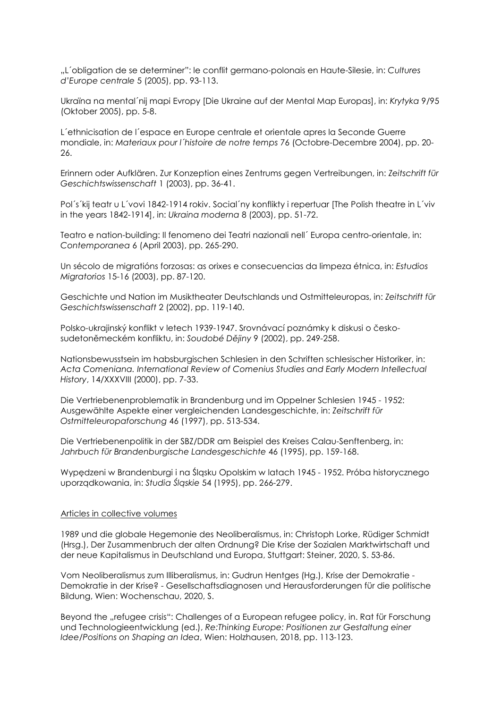"L´obligation de se determiner": le conflit germano-polonais en Haute-Silesie, in: *Cultures d'Europe centrale* 5 (2005), pp. 93-113.

Ukraïna na mental´nij mapi Evropy [Die Ukraine auf der Mental Map Europas], in: *Krytyka* 9/95 (Oktober 2005), pp. 5-8.

L´ethnicisation de l´espace en Europe centrale et orientale apres la Seconde Guerre mondiale, in: *Materiaux pour l´histoire de notre temps* 76 (Octobre-Decembre 2004), pp. 20- 26.

Erinnern oder Aufklären. Zur Konzeption eines Zentrums gegen Vertreibungen, in: *Zeitschrift für Geschichtswissenschaft* 1 (2003), pp. 36-41.

Pol´s´kij teatr u L´vovi 1842-1914 rokiv. Social´ny konflikty i repertuar [The Polish theatre in L´viv in the years 1842-1914], in: *Ukraina moderna* 8 (2003), pp. 51-72.

Teatro e nation-building: Il fenomeno dei Teatri nazionali nell´ Europa centro-orientale, in: *Contemporanea* 6 (April 2003), pp. 265-290.

Un sécolo de migratións forzosas: as orixes e consecuencias da limpeza étnica, in: *Estudios Migratorios* 15-16 (2003), pp. 87-120.

Geschichte und Nation im Musiktheater Deutschlands und Ostmitteleuropas, in: *Zeitschrift für Geschichtswissenschaft* 2 (2002), pp. 119-140.

Polsko-ukrajinský konflikt v letech 1939-1947. Srovnávací poznámky k diskusi o českosudetoněmeckém konfliktu, in: *Soudobé Dějiny* 9 (2002), pp. 249-258.

Nationsbewusstsein im habsburgischen Schlesien in den Schriften schlesischer Historiker, in: *Acta Comeniana. International Review of Comenius Studies and Early Modern Intellectual History*, 14/XXXVIII (2000), pp. 7-33.

Die Vertriebenenproblematik in Brandenburg und im Oppelner Schlesien 1945 - 1952: Ausgewählte Aspekte einer vergleichenden Landesgeschichte, in: *Zeitschrift für Ostmitteleuropaforschung* 46 (1997), pp. 513-534.

Die Vertriebenenpolitik in der SBZ/DDR am Beispiel des Kreises Calau-Senftenberg, in: *Jahrbuch für Brandenburgische Landesgeschichte* 46 (1995), pp. 159-168.

Wypędzeni w Brandenburgi i na Śląsku Opolskim w latach 1945 - 1952. Próba historycznego uporządkowania, in: *Studia Śląskie* 54 (1995), pp. 266-279.

#### Articles in collective volumes

1989 und die globale Hegemonie des Neoliberalismus, in: Christoph Lorke, Rüdiger Schmidt (Hrsg.), Der Zusammenbruch der alten Ordnung? Die Krise der Sozialen Marktwirtschaft und der neue Kapitalismus in Deutschland und Europa, Stuttgart: Steiner, 2020, S. 53-86.

Vom Neoliberalismus zum Illiberalismus, in: Gudrun Hentges (Hg.), Krise der Demokratie - Demokratie in der Krise? - Gesellschaftsdiagnosen und Herausforderungen für die politische Bildung, Wien: Wochenschau, 2020, S.

Beyond the "refugee crisis": Challenges of a European refugee policy, in. Rat für Forschung und Technologieentwicklung (ed.), *Re:Thinking Europe: Positionen zur Gestaltung einer Idee/Positions on Shaping an Idea*, Wien: Holzhausen, 2018, pp. 113-123.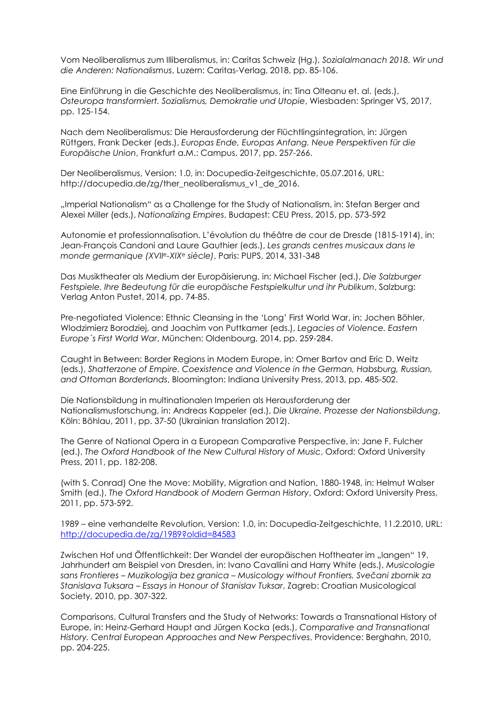Vom Neoliberalismus zum Illiberalismus, in: Caritas Schweiz (Hg.), *Sozialalmanach 2018. Wir und die Anderen: Nationalismus*, Luzern: Caritas-Verlag, 2018, pp. 85-106.

Eine Einführung in die Geschichte des Neoliberalismus, in: Tina Olteanu et. al. (eds.), *Osteuropa transformiert. Sozialismus, Demokratie und Utopie*, Wiesbaden: Springer VS, 2017, pp. 125-154.

Nach dem Neoliberalismus: Die Herausforderung der Flüchtlingsintegration, in: Jürgen Rüttgers, Frank Decker (eds.), *Europas Ende, Europas Anfang. Neue Perspektiven für die Europäische Union*, Frankfurt a.M.: Campus, 2017, pp. 257-266.

Der Neoliberalismus, Version: 1.0, in: Docupedia-Zeitgeschichte, 05.07.2016, URL: http://docupedia.de/zg/ther\_neoliberalismus\_v1\_de\_2016.

"Imperial Nationalism" as a Challenge for the Study of Nationalism, in: Stefan Berger and Alexei Miller (eds.), *Nationalizing Empires*, Budapest: CEU Press, 2015, pp. 573-592

Autonomie et professionnalisation. L'évolution du théâtre de cour de Dresde (1815-1914), in: Jean-François Candoni and Laure Gauthier (eds.), *Les grands centres musicaux dans le monde germanique (XVIIe-XIXe siècle)*, Paris: PUPS, 2014, 331-348

Das Musiktheater als Medium der Europäisierung, in: Michael Fischer (ed.), *Die Salzburger Festspiele. Ihre Bedeutung für die europäische Festspielkultur und ihr Publikum*, Salzburg: Verlag Anton Pustet, 2014, pp. 74-85.

Pre-negotiated Violence: Ethnic Cleansing in the 'Long' First World War, in: Jochen Böhler, Wlodzimierz Borodziej, and Joachim von Puttkamer (eds.), *Legacies of Violence. Eastern Europe´s First World War*, München: Oldenbourg, 2014, pp. 259-284.

Caught in Between: Border Regions in Modern Europe, in: Omer Bartov and Eric D. Weitz (eds.), *Shatterzone of Empire. Coexistence and Violence in the German, Habsburg, Russian, and Ottoman Borderlands*, Bloomington: Indiana University Press, 2013, pp. 485-502.

Die Nationsbildung in multinationalen Imperien als Herausforderung der Nationalismusforschung, in: Andreas Kappeler (ed.), *Die Ukraine. Prozesse der Nationsbildung*, Köln: Böhlau, 2011, pp. 37-50 (Ukrainian translation 2012).

The Genre of National Opera in a European Comparative Perspective, in: Jane F. Fulcher (ed.), *The Oxford Handbook of the New Cultural History of Music*, Oxford: Oxford University Press, 2011, pp. 182-208.

(with S. Conrad) One the Move: Mobility, Migration and Nation, 1880-1948, in: Helmut Walser Smith (ed.), *The Oxford Handbook of Modern German History*, Oxford: Oxford University Press, 2011, pp. 573-592.

1989 – eine verhandelte Revolution, Version: 1.0, in: Docupedia-Zeitgeschichte, 11.2.2010, URL: <http://docupedia.de/zg/1989?oldid=84583>

Zwischen Hof und Öffentlichkeit: Der Wandel der europäischen Hoftheater im "langen" 19. Jahrhundert am Beispiel von Dresden, in: Ivano Cavallini and Harry White (eds.), *Musicologie sans Frontieres – Muzikologija bez granica – Musicology without Frontiers. Svečani zbornik za Stanislava Tuksara – Essays in Honour of Stanislav Tuksar*, Zagreb: Croatian Musicological Society, 2010, pp. 307-322.

Comparisons, Cultural Transfers and the Study of Networks: Towards a Transnational History of Europe, in: Heinz-Gerhard Haupt and Jürgen Kocka (eds.), *Comparative and Transnational History. Central European Approaches and New Perspectives*, Providence: Berghahn, 2010, pp. 204-225.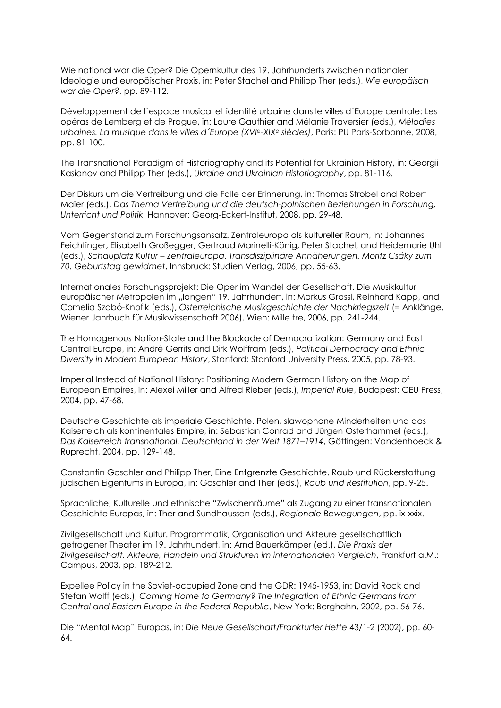Wie national war die Oper? Die Opernkultur des 19. Jahrhunderts zwischen nationaler Ideologie und europäischer Praxis, in: Peter Stachel and Philipp Ther (eds.), *Wie europäisch war die Oper?*, pp. 89-112.

Développement de l´espace musical et identité urbaine dans le villes d´Europe centrale: Les opéras de Lemberg et de Prague, in: Laure Gauthier and Mélanie Traversier (eds.), *Mélodies urbaines. La musique dans le villes d´Europe (XVIe-XIXe siècles)*, Paris: PU Paris-Sorbonne, 2008, pp. 81-100.

The Transnational Paradigm of Historiography and its Potential for Ukrainian History, in: Georgii Kasianov and Philipp Ther (eds.), *Ukraine and Ukrainian Historiography*, pp. 81-116.

Der Diskurs um die Vertreibung und die Falle der Erinnerung, in: Thomas Strobel and Robert Maier (eds.), *Das Thema Vertreibung und die deutsch-polnischen Beziehungen in Forschung, Unterricht und Politik*, Hannover: Georg-Eckert-Institut, 2008, pp. 29-48.

Vom Gegenstand zum Forschungsansatz. Zentraleuropa als kultureller Raum, in: Johannes Feichtinger, Elisabeth Großegger, Gertraud Marinelli-König, Peter Stachel, and Heidemarie Uhl (eds.), *Schauplatz Kultur – Zentraleuropa. Transdisziplinäre Annäherungen. Moritz Csáky zum 70. Geburtstag gewidmet*, Innsbruck: Studien Verlag, 2006, pp. 55-63.

Internationales Forschungsprojekt: Die Oper im Wandel der Gesellschaft. Die Musikkultur europäischer Metropolen im "langen" 19. Jahrhundert, in: Markus Grassl, Reinhard Kapp, and Cornelia Szabó-Knofik (eds.), *Österreichische Musikgeschichte der Nachkriegszeit* (= Anklänge. Wiener Jahrbuch für Musikwissenschaft 2006), Wien: Mille tre, 2006, pp. 241-244.

The Homogenous Nation-State and the Blockade of Democratization: Germany and East Central Europe, in: André Gerrits and Dirk Wolffram (eds.), *Political Democracy and Ethnic Diversity in Modern European History*, Stanford: Stanford University Press, 2005, pp. 78-93.

Imperial Instead of National History: Positioning Modern German History on the Map of European Empires, in: Alexei Miller and Alfred Rieber (eds.), *Imperial Rule*, Budapest: CEU Press, 2004, pp. 47-68.

Deutsche Geschichte als imperiale Geschichte. Polen, slawophone Minderheiten und das Kaiserreich als kontinentales Empire, in: Sebastian Conrad and Jürgen Osterhammel (eds.), *Das Kaiserreich transnational. Deutschland in der Welt 1871–1914*, Göttingen: Vandenhoeck & Ruprecht, 2004, pp. 129-148.

Constantin Goschler and Philipp Ther, Eine Entgrenzte Geschichte. Raub und Rückerstattung jüdischen Eigentums in Europa, in: Goschler and Ther (eds.), *Raub und Restitution*, pp. 9-25.

Sprachliche, Kulturelle und ethnische "Zwischenräume" als Zugang zu einer transnationalen Geschichte Europas, in: Ther and Sundhaussen (eds.), *Regionale Bewegungen*, pp. ix-xxix.

Zivilgesellschaft und Kultur. Programmatik, Organisation und Akteure gesellschaftlich getragener Theater im 19. Jahrhundert, in: Arnd Bauerkämper (ed.), *Die Praxis der Zivilgesellschaft. Akteure, Handeln und Strukturen im internationalen Vergleich*, Frankfurt a.M.: Campus, 2003, pp. 189-212.

Expellee Policy in the Soviet-occupied Zone and the GDR: 1945-1953, in: David Rock and Stefan Wolff (eds.), *Coming Home to Germany? The Integration of Ethnic Germans from Central and Eastern Europe in the Federal Republic*, New York: Berghahn, 2002, pp. 56-76.

Die "Mental Map" Europas, in: *Die Neue Gesellschaft/Frankfurter Hefte* 43/1-2 (2002), pp. 60- 64.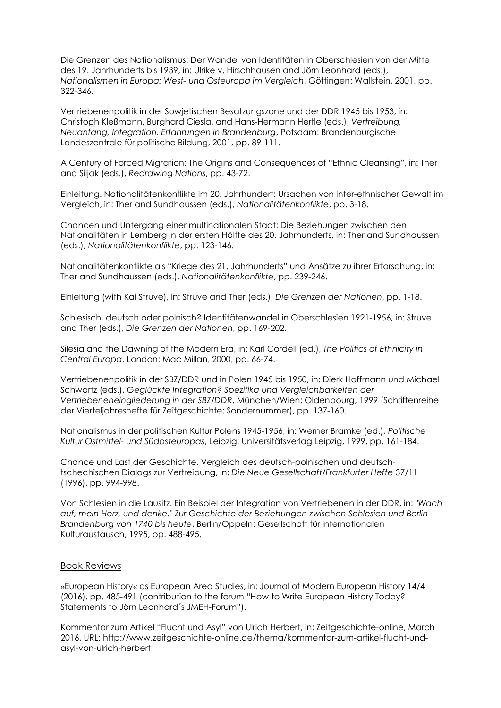Die Grenzen des Nationalismus: Der Wandel von Identitäten in Oberschlesien von der Mitte des 19. Jahrhunderts bis 1939, in: Ulrike v. Hirschhausen and Jörn Leonhard (eds.), *Nationalismen in Europa: West- und Osteuropa im Vergleich*, Göttingen: Wallstein, 2001, pp. 322-346.

Vertriebenenpolitik in der Sowjetischen Besatzungszone und der DDR 1945 bis 1953, in: Christoph Kleßmann, Burghard Ciesla, and Hans-Hermann Hertle (eds.), *Vertreibung, Neuanfang, Integration. Erfahrungen in Brandenburg*, Potsdam: Brandenburgische Landeszentrale für politische Bildung, 2001, pp. 89-111.

A Century of Forced Migration: The Origins and Consequences of "Ethnic Cleansing", in: Ther and Siljak (eds.), *Redrawing Nations*, pp. 43-72.

Einleitung. Nationalitätenkonflikte im 20. Jahrhundert: Ursachen von inter-ethnischer Gewalt im Vergleich, in: Ther and Sundhaussen (eds.), *Nationalitätenkonflikte*, pp. 3-18.

Chancen und Untergang einer multinationalen Stadt: Die Beziehungen zwischen den Nationalitäten in Lemberg in der ersten Hälfte des 20. Jahrhunderts, in: Ther and Sundhaussen (eds.), *Nationalitätenkonflikte*, pp. 123-146.

Nationalitätenkonflikte als "Kriege des 21. Jahrhunderts" und Ansätze zu ihrer Erforschung, in: Ther and Sundhaussen (eds.), *Nationalitätenkonflikte*, pp. 239-246.

Einleitung (with Kai Struve), in: Struve and Ther (eds.), *Die Grenzen der Nationen*, pp. 1-18.

Schlesisch, deutsch oder polnisch? Identitätenwandel in Oberschlesien 1921-1956, in: Struve and Ther (eds.), *Die Grenzen der Nationen*, pp. 169-202.

Silesia and the Dawning of the Modern Era, in: Karl Cordell (ed.), *The Politics of Ethnicity in Central Europa*, London: Mac Millan, 2000, pp. 66-74.

Vertriebenenpolitik in der SBZ/DDR und in Polen 1945 bis 1950, in: Dierk Hoffmann und Michael Schwartz (eds.), *Geglückte Integration? Spezifika und Vergleichbarkeiten der Vertriebeneneingliederung in der SBZ/DDR*, München/Wien: Oldenbourg, 1999 (Schriftenreihe der Vierteljahreshefte für Zeitgeschichte; Sondernummer), pp. 137-160.

Nationalismus in der politischen Kultur Polens 1945-1956, in: Werner Bramke (ed.), *Politische Kultur Ostmittel- und Südosteuropas*, Leipzig: Universitätsverlag Leipzig, 1999, pp. 161-184.

Chance und Last der Geschichte. Vergleich des deutsch-polnischen und deutschtschechischen Dialogs zur Vertreibung, in: *Die Neue Gesellschaft/Frankfurter Hefte* 37/11 (1996), pp. 994-998.

Von Schlesien in die Lausitz. Ein Beispiel der Integration von Vertriebenen in der DDR, in: *"Wach auf, mein Herz, und denke." Zur Geschichte der Beziehungen zwischen Schlesien und Berlin-Brandenburg von 1740 bis heute*, Berlin/Oppeln: Gesellschaft für internationalen Kulturaustausch, 1995, pp. 488-495.

#### Book Reviews

»European History« as European Area Studies, in: Journal of Modern European History 14/4 (2016), pp. 485-491 (contribution to the forum "How to Write European History Today? Statements to Jörn Leonhard´s JMEH-Forum").

Kommentar zum Artikel "Flucht und Asyl" von Ulrich Herbert, in: Zeitgeschichte-online, March 2016, URL: http://www.zeitgeschichte-online.de/thema/kommentar-zum-artikel-flucht-undasyl-von-ulrich-herbert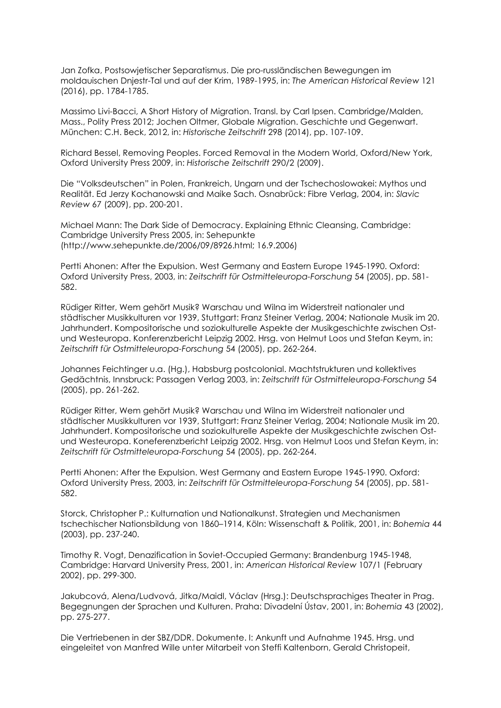Jan Zofka, Postsowjetischer Separatismus. Die pro-russländischen Bewegungen im moldauischen Dnjestr-Tal und auf der Krim, 1989-1995, in: *The American Historical Review* 121 (2016), pp. 1784-1785.

Massimo Livi-Bacci, A Short History of Migration. Transl. by Carl Ipsen. Cambridge/Malden, Mass., Polity Press 2012; Jochen Oltmer, Globale Migration. Geschichte und Gegenwart. München: C.H. Beck, 2012, in: *Historische Zeitschrift* 298 (2014), pp. 107-109.

Richard Bessel, Removing Peoples. Forced Removal in the Modern World, Oxford/New York, Oxford University Press 2009, in: *Historische Zeitschrift* 290/2 (2009).

Die "Volksdeutschen" in Polen, Frankreich, Ungarn und der Tschechoslowakei: Mythos und Realität. Ed Jerzy Kochanowski and Maike Sach. Osnabrück: Fibre Verlag, 2004, in: *Slavic Review* 67 (2009), pp. 200-201.

Michael Mann: The Dark Side of Democracy. Explaining Ethnic Cleansing, Cambridge: Cambridge University Press 2005, in: Sehepunkte (http://www.sehepunkte.de/2006/09/8926.html; 16.9.2006)

Pertti Ahonen: After the Expulsion. West Germany and Eastern Europe 1945-1990. Oxford: Oxford University Press, 2003, in: *Zeitschrift für Ostmitteleuropa-Forschung* 54 (2005), pp. 581- 582.

Rüdiger Ritter, Wem gehört Musik? Warschau und Wilna im Widerstreit nationaler und städtischer Musikkulturen vor 1939, Stuttgart: Franz Steiner Verlag, 2004; Nationale Musik im 20. Jahrhundert. Kompositorische und soziokulturelle Aspekte der Musikgeschichte zwischen Ostund Westeuropa. Konferenzbericht Leipzig 2002. Hrsg. von Helmut Loos und Stefan Keym, in: *Zeitschrift für Ostmitteleuropa-Forschung* 54 (2005), pp. 262-264.

Johannes Feichtinger u.a. (Hg.), Habsburg postcolonial. Machtstrukturen und kollektives Gedächtnis, Innsbruck: Passagen Verlag 2003, in: *Zeitschrift für Ostmitteleuropa-Forschung* 54 (2005), pp. 261-262.

Rüdiger Ritter, Wem gehört Musik? Warschau und Wilna im Widerstreit nationaler und städtischer Musikkulturen vor 1939, Stuttgart: Franz Steiner Verlag, 2004; Nationale Musik im 20. Jahrhundert. Kompositorische und soziokulturelle Aspekte der Musikgeschichte zwischen Ostund Westeuropa. Koneferenzbericht Leipzig 2002. Hrsg. von Helmut Loos und Stefan Keym, in: *Zeitschrift für Ostmitteleuropa-Forschung* 54 (2005), pp. 262-264.

Pertti Ahonen: After the Expulsion. West Germany and Eastern Europe 1945-1990. Oxford: Oxford University Press, 2003, in: *Zeitschrift für Ostmitteleuropa-Forschung* 54 (2005), pp. 581- 582.

Storck, Christopher P.: Kulturnation und Nationalkunst. Strategien und Mechanismen tschechischer Nationsbildung von 1860–1914, Köln: Wissenschaft & Politik, 2001, in: *Bohemia* 44 (2003), pp. 237-240.

Timothy R. Vogt, Denazification in Soviet-Occupied Germany: Brandenburg 1945-1948, Cambridge: Harvard University Press, 2001, in: *American Historical Review* 107/1 (February 2002), pp. 299-300.

Jakubcová, Alena/Ludvová, Jitka/Maidl, Václav (Hrsg.): Deutschsprachiges Theater in Prag. Begegnungen der Sprachen und Kulturen. Praha: Divadelní Ústav, 2001, in: *Bohemia* 43 (2002), pp. 275-277.

Die Vertriebenen in der SBZ/DDR. Dokumente. I: Ankunft und Aufnahme 1945. Hrsg. und eingeleitet von Manfred Wille unter Mitarbeit von Steffi Kaltenborn, Gerald Christopeit,